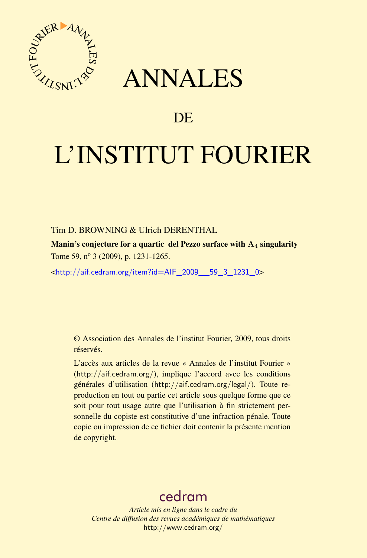

## ANNALES

## **DE**

# L'INSTITUT FOURIER

#### Tim D. BROWNING & Ulrich DERENTHAL

Manin's conjecture for a quartic del Pezzo surface with  $A_4$  singularity Tome 59, nº 3 (2009), p. 1231-1265.

<[http://aif.cedram.org/item?id=AIF\\_2009\\_\\_59\\_3\\_1231\\_0](http://aif.cedram.org/item?id=AIF_2009__59_3_1231_0)>

© Association des Annales de l'institut Fourier, 2009, tous droits réservés.

L'accès aux articles de la revue « Annales de l'institut Fourier » (<http://aif.cedram.org/>), implique l'accord avec les conditions générales d'utilisation (<http://aif.cedram.org/legal/>). Toute reproduction en tout ou partie cet article sous quelque forme que ce soit pour tout usage autre que l'utilisation à fin strictement personnelle du copiste est constitutive d'une infraction pénale. Toute copie ou impression de ce fichier doit contenir la présente mention de copyright.

## [cedram](http://www.cedram.org/)

*Article mis en ligne dans le cadre du Centre de diffusion des revues académiques de mathématiques* <http://www.cedram.org/>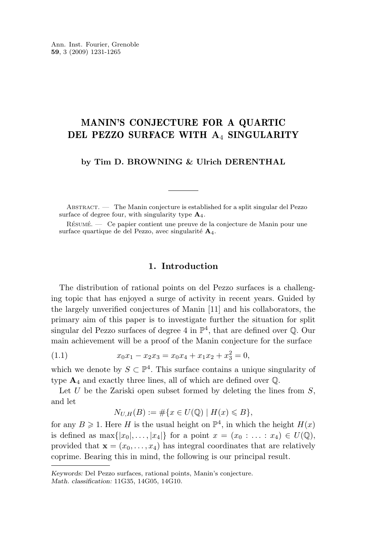#### <span id="page-1-0"></span>MANIN'S CONJECTURE FOR A QUARTIC DEL PEZZO SURFACE WITH A4 SINGULARITY

**by Tim D. BROWNING & Ulrich DERENTHAL**

ABSTRACT. — The Manin conjecture is established for a split singular del Pezzo surface of degree four, with singularity type  $A_4$ .

Résumé. — Ce papier contient une preuve de la conjecture de Manin pour une surface quartique de del Pezzo, avec singularité A4.

#### **1. Introduction**

The distribution of rational points on del Pezzo surfaces is a challenging topic that has enjoyed a surge of activity in recent years. Guided by the largely unverified conjectures of Manin [\[11\]](#page-35-0) and his collaborators, the primary aim of this paper is to investigate further the situation for split singular del Pezzo surfaces of degree 4 in  $\mathbb{P}^4$ , that are defined over  $\mathbb Q$ . Our main achievement will be a proof of the Manin conjecture for the surface

(1.1) 
$$
x_0x_1 - x_2x_3 = x_0x_4 + x_1x_2 + x_3^2 = 0,
$$

which we denote by  $S \subset \mathbb{P}^4$ . This surface contains a unique singularity of type  $\mathbf{A}_4$  and exactly three lines, all of which are defined over  $\mathbb{Q}$ .

Let U be the Zariski open subset formed by deleting the lines from  $S$ , and let

$$
N_{U,H}(B) := \# \{ x \in U(\mathbb{Q}) \mid H(x) \leq B \},
$$

for any  $B \geqslant 1$ . Here H is the usual height on  $\mathbb{P}^4$ , in which the height  $H(x)$ is defined as  $\max\{|x_0|, \ldots, |x_4|\}$  for a point  $x = (x_0 : \ldots : x_4) \in U(\mathbb{Q}),$ provided that  $\mathbf{x} = (x_0, \ldots, x_4)$  has integral coordinates that are relatively coprime. Bearing this in mind, the following is our principal result.

*Keywords:* Del Pezzo surfaces, rational points, Manin's conjecture. *Math. classification:* 11G35, 14G05, 14G10.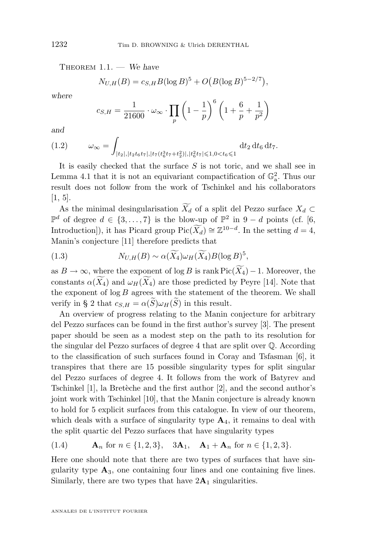<span id="page-2-0"></span>Theorem 1.1. — *We have*

$$
N_{U,H}(B) = c_{S,H} B(\log B)^5 + O\big(B(\log B)^{5-2/7}\big),
$$

*where*

$$
c_{S,H} = \frac{1}{21600} \cdot \omega_{\infty} \cdot \prod_{p} \left(1 - \frac{1}{p}\right)^{6} \left(1 + \frac{6}{p} + \frac{1}{p^{2}}\right)
$$

*and*

$$
(1.2) \qquad \omega_{\infty} = \int_{|t_2|, |t_2 t_6 t_7|, |t_7(t_6^3 t_7 + t_2^2)|, |t_6^2 t_7| \leq 1, 0 < t_6 \leq 1} \mathrm{d}t_2 \, \mathrm{d}t_6 \, \mathrm{d}t_7.
$$

It is easily checked that the surface  $S$  is not toric, and we shall see in Lemma [4.1](#page-11-0) that it is not an equivariant compactification of  $\mathbb{G}_{a}^{2}$ . Thus our result does not follow from the work of Tschinkel and his collaborators [\[1,](#page-35-0) [5\]](#page-35-0).

As the minimal desingularisation  $\widetilde{X}_d$  of a split del Pezzo surface  $X_d \subset$  $\mathbb{P}^d$  of degree  $d \in \{3, ..., 7\}$  is the blow-up of  $\mathbb{P}^2$  in 9 − d points (cf. [\[6,](#page-35-0) Introduction]), it has Picard group  $Pic(\widetilde{X_d}) \cong \mathbb{Z}^{10-d}$ . In the setting  $d = 4$ , Manin's conjecture [\[11\]](#page-35-0) therefore predicts that

(1.3) 
$$
N_{U,H}(B) \sim \alpha(\widetilde{X_4})\omega_H(\widetilde{X_4})B(\log B)^5,
$$

as  $B \to \infty$ , where the exponent of log B is rank Pic( $\widetilde{X}_4$ ) – 1. Moreover, the constants  $\alpha(\widetilde{X}_4)$  and  $\omega_H(\widetilde{X}_4)$  are those predicted by Peyre [\[14\]](#page-35-0). Note that the exponent of  $\log B$  agrees with the statement of the theorem. We shall verify in § [2](#page-5-0) that  $c_{S,H} = \alpha(\widetilde{S}) \omega_H(\widetilde{S})$  in this result.

An overview of progress relating to the Manin conjecture for arbitrary del Pezzo surfaces can be found in the first author's survey [\[3\]](#page-35-0). The present paper should be seen as a modest step on the path to its resolution for the singular del Pezzo surfaces of degree 4 that are split over Q. According to the classification of such surfaces found in Coray and Tsfasman [\[6\]](#page-35-0), it transpires that there are 15 possible singularity types for split singular del Pezzo surfaces of degree 4. It follows from the work of Batyrev and Tschinkel [\[1\]](#page-35-0), la Bretèche and the first author [\[2\]](#page-35-0), and the second author's joint work with Tschinkel [\[10\]](#page-35-0), that the Manin conjecture is already known to hold for 5 explicit surfaces from this catalogue. In view of our theorem, which deals with a surface of singularity type  $A_4$ , it remains to deal with the split quartic del Pezzo surfaces that have singularity types

(1.4) 
$$
\mathbf{A}_n
$$
 for  $n \in \{1, 2, 3\}$ ,  $3\mathbf{A}_1$ ,  $\mathbf{A}_1 + \mathbf{A}_n$  for  $n \in \{1, 2, 3\}$ .

Here one should note that there are two types of surfaces that have singularity type  $\mathbf{A}_3$ , one containing four lines and one containing five lines. Similarly, there are two types that have  $2\mathbf{A}_1$  singularities.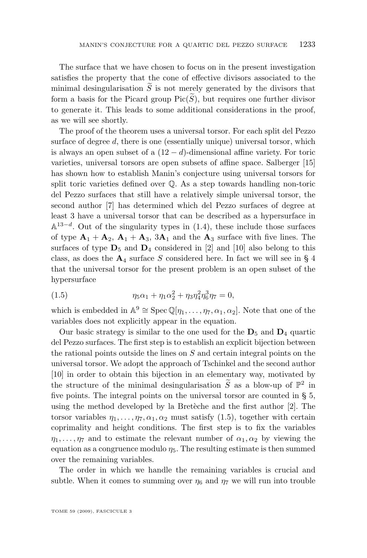<span id="page-3-0"></span>The surface that we have chosen to focus on in the present investigation satisfies the property that the cone of effective divisors associated to the minimal desingularisation  $\tilde{S}$  is not merely generated by the divisors that form a basis for the Picard group  $Pic(S)$ , but requires one further divisor to generate it. This leads to some additional considerations in the proof, as we will see shortly.

The proof of the theorem uses a universal torsor. For each split del Pezzo surface of degree d, there is one (essentially unique) universal torsor, which is always an open subset of a  $(12 - d)$ -dimensional affine variety. For toric varieties, universal torsors are open subsets of affine space. Salberger [\[15\]](#page-35-0) has shown how to establish Manin's conjecture using universal torsors for split toric varieties defined over Q. As a step towards handling non-toric del Pezzo surfaces that still have a relatively simple universal torsor, the second author [\[7\]](#page-35-0) has determined which del Pezzo surfaces of degree at least 3 have a universal torsor that can be described as a hypersurface in  $\mathbb{A}^{13-d}$ . Out of the singularity types in [\(1.4\)](#page-2-0), these include those surfaces of type  $A_1 + A_2$ ,  $A_1 + A_3$ ,  $3A_1$  and the  $A_3$  surface with five lines. The surfaces of type  $D_5$  and  $D_4$  considered in [\[2\]](#page-35-0) and [\[10\]](#page-35-0) also belong to this class, as does the  $A_4$  $A_4$  surface S considered here. In fact we will see in § 4 that the universal torsor for the present problem is an open subset of the hypersurface

(1.5) 
$$
\eta_5 \alpha_1 + \eta_1 \alpha_2^2 + \eta_3 \eta_4^2 \eta_6^3 \eta_7 = 0,
$$

which is embedded in  $\mathbb{A}^9 \cong \text{Spec } \mathbb{Q}[\eta_1, \ldots, \eta_7, \alpha_1, \alpha_2]$ . Note that one of the variables does not explicitly appear in the equation.

Our basic strategy is similar to the one used for the  $D_5$  and  $D_4$  quartic del Pezzo surfaces. The first step is to establish an explicit bijection between the rational points outside the lines on S and certain integral points on the universal torsor. We adopt the approach of Tschinkel and the second author [\[10\]](#page-35-0) in order to obtain this bijection in an elementary way, motivated by the structure of the minimal desingularisation  $\widetilde{S}$  as a blow-up of  $\mathbb{P}^2$  in five points. The integral points on the universal torsor are counted in § [5,](#page-13-0) using the method developed by la Bretèche and the first author [\[2\]](#page-35-0). The torsor variables  $\eta_1, \ldots, \eta_7, \alpha_1, \alpha_2$  must satisfy (1.5), together with certain coprimality and height conditions. The first step is to fix the variables  $\eta_1, \ldots, \eta_7$  and to estimate the relevant number of  $\alpha_1, \alpha_2$  by viewing the equation as a congruence modulo  $\eta_5$ . The resulting estimate is then summed over the remaining variables.

The order in which we handle the remaining variables is crucial and subtle. When it comes to summing over  $\eta_6$  and  $\eta_7$  we will run into trouble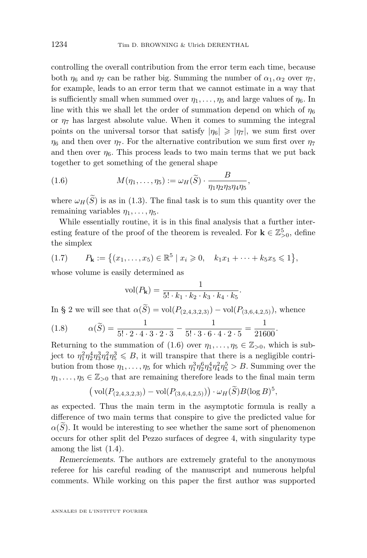<span id="page-4-0"></span>controlling the overall contribution from the error term each time, because both  $\eta_6$  and  $\eta_7$  can be rather big. Summing the number of  $\alpha_1, \alpha_2$  over  $\eta_7$ , for example, leads to an error term that we cannot estimate in a way that is sufficiently small when summed over  $\eta_1, \ldots, \eta_5$  and large values of  $\eta_6$ . In line with this we shall let the order of summation depend on which of  $\eta_6$ or  $\eta_7$  has largest absolute value. When it comes to summing the integral points on the universal torsor that satisfy  $|\eta_6| \geqslant |\eta_7|$ , we sum first over  $\eta_6$  and then over  $\eta_7$ . For the alternative contribution we sum first over  $\eta_7$ and then over  $\eta_6$ . This process leads to two main terms that we put back together to get something of the general shape

(1.6) 
$$
M(\eta_1,\ldots,\eta_5) := \omega_H(\widetilde{S}) \cdot \frac{B}{\eta_1 \eta_2 \eta_3 \eta_4 \eta_5},
$$

where  $\omega_H(\widetilde{S})$  is as in [\(1.3\)](#page-2-0). The final task is to sum this quantity over the remaining variables  $\eta_1, \ldots, \eta_5$ .

While essentially routine, it is in this final analysis that a further interesting feature of the proof of the theorem is revealed. For  $\mathbf{k} \in \mathbb{Z}_{>0}^5$ , define the simplex

$$
(1.7) \t P_{\mathbf{k}} := \left\{ (x_1, \ldots, x_5) \in \mathbb{R}^5 \mid x_i \geqslant 0, \quad k_1 x_1 + \cdots + k_5 x_5 \leqslant 1 \right\},\
$$

whose volume is easily determined as

$$
\text{vol}(P_{\mathbf{k}}) = \frac{1}{5! \cdot k_1 \cdot k_2 \cdot k_3 \cdot k_4 \cdot k_5}.
$$

In § [2](#page-5-0) we will see that  $\alpha(\widetilde{S}) = \text{vol}(P_{(2,4,3,2,3)}) - \text{vol}(P_{(3,6,4,2,5)})$ , whence

(1.8) 
$$
\alpha(\widetilde{S}) = \frac{1}{5! \cdot 2 \cdot 4 \cdot 3 \cdot 2 \cdot 3} - \frac{1}{5! \cdot 3 \cdot 6 \cdot 4 \cdot 2 \cdot 5} = \frac{1}{21600}
$$

Returning to the summation of  $(1.6)$  over  $\eta_1, \ldots, \eta_5 \in \mathbb{Z}_{>0}$ , which is subject to  $\eta_1^2 \eta_2^4 \eta_3^3 \eta_4^2 \eta_5^3 \leq B$ , it will transpire that there is a negligible contribution from those  $\eta_1, \ldots, \eta_5$  for which  $\eta_1^3 \eta_2^6 \eta_3^4 \eta_4^2 \eta_5^5 > B$ . Summing over the  $\eta_1, \ldots, \eta_5 \in \mathbb{Z}_{>0}$  that are remaining therefore leads to the final main term

.

$$
(\text{vol}(P_{(2,4,3,2,3)}) - \text{vol}(P_{(3,6,4,2,5)})) \cdot \omega_H(\widetilde{S})B(\log B)^5,
$$

as expected. Thus the main term in the asymptotic formula is really a difference of two main terms that conspire to give the predicted value for  $\alpha(S)$ . It would be interesting to see whether the same sort of phenomenon occurs for other split del Pezzo surfaces of degree 4, with singularity type among the list [\(1.4\)](#page-2-0).

*Remerciements*. The authors are extremely grateful to the anonymous referee for his careful reading of the manuscript and numerous helpful comments. While working on this paper the first author was supported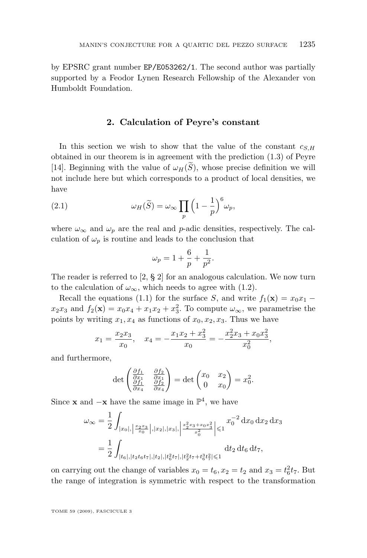<span id="page-5-0"></span>by EPSRC grant number EP/E053262/1. The second author was partially supported by a Feodor Lynen Research Fellowship of the Alexander von Humboldt Foundation.

#### **2. Calculation of Peyre's constant**

In this section we wish to show that the value of the constant  $c_{S,H}$ obtained in our theorem is in agreement with the prediction [\(1.3\)](#page-2-0) of Peyre [\[14\]](#page-35-0). Beginning with the value of  $\omega_H(\tilde{S})$ , whose precise definition we will not include here but which corresponds to a product of local densities, we have

(2.1) 
$$
\omega_H(\widetilde{S}) = \omega_\infty \prod_p \left(1 - \frac{1}{p}\right)^6 \omega_p,
$$

where  $\omega_{\infty}$  and  $\omega_p$  are the real and p-adic densities, respectively. The calculation of  $\omega_p$  is routine and leads to the conclusion that

$$
\omega_p = 1 + \frac{6}{p} + \frac{1}{p^2}.
$$

The reader is referred to [\[2,](#page-35-0) § 2] for an analogous calculation. We now turn to the calculation of  $\omega_{\infty}$ , which needs to agree with [\(1.2\)](#page-2-0).

Recall the equations [\(1.1\)](#page-1-0) for the surface S, and write  $f_1(\mathbf{x}) = x_0 x_1$  $x_2x_3$  and  $f_2(\mathbf{x}) = x_0x_4 + x_1x_2 + x_3^2$ . To compute  $\omega_{\infty}$ , we parametrise the points by writing  $x_1, x_4$  as functions of  $x_0, x_2, x_3$ . Thus we have

$$
x_1 = \frac{x_2 x_3}{x_0}, \quad x_4 = -\frac{x_1 x_2 + x_3^2}{x_0} = -\frac{x_2^2 x_3 + x_0 x_3^2}{x_0^2},
$$

and furthermore,

$$
\det\begin{pmatrix}\n\frac{\partial f_1}{\partial x_1} & \frac{\partial f_2}{\partial x_1} \\
\frac{\partial f_1}{\partial x_4} & \frac{\partial f_2}{\partial x_4}\n\end{pmatrix} = \det\begin{pmatrix} x_0 & x_2 \\
0 & x_0 \end{pmatrix} = x_0^2.
$$

Since **x** and  $-\mathbf{x}$  have the same image in  $\mathbb{P}^4$ , we have

$$
\omega_{\infty} = \frac{1}{2} \int_{|x_0|, \left|\frac{x_2 x_3}{x_0}\right|, |x_2|, |x_3|, \left|\frac{x_2^2 x_3 + x_0 x_3^2}{x_0^2}\right| \leqslant 1} x_0^{-2} dx_0 dx_2 dx_3
$$

$$
= \frac{1}{2} \int_{|t_6|, |t_2 t_6 t_7|, |t_2|, |t_6^2 t_7|, |t_2^2 t_7 + t_6^3 t_7^2| \leqslant 1} dt_2 dt_6 dt_7,
$$

on carrying out the change of variables  $x_0 = t_6, x_2 = t_2$  and  $x_3 = t_6^2 t_7$ . But the range of integration is symmetric with respect to the transformation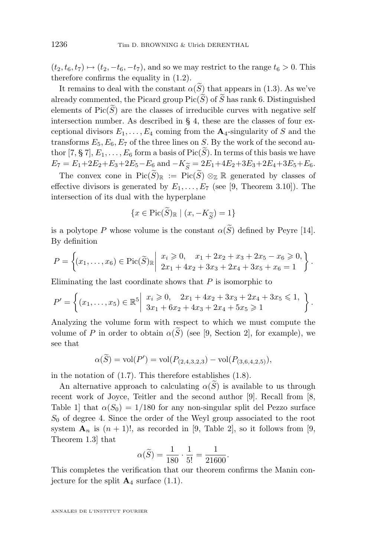$(t_2, t_6, t_7) \mapsto (t_2, -t_6, -t_7)$ , and so we may restrict to the range  $t_6 > 0$ . This therefore confirms the equality in [\(1.2\)](#page-2-0).

It remains to deal with the constant  $\alpha(\widetilde{S})$  that appears in [\(1.3\)](#page-2-0). As we've already commented, the Picard group  $Pic(\widetilde{S})$  of  $\widetilde{S}$  has rank 6. Distinguished elements of  $Pic(\widetilde{S})$  are the classes of irreducible curves with negative self intersection number. As described in § [4,](#page-9-0) these are the classes of four exceptional divisors  $E_1, \ldots, E_4$  coming from the  $\mathbf{A}_4$ -singularity of S and the transforms  $E_5, E_6, E_7$  of the three lines on S. By the work of the second au-thor [\[7,](#page-35-0) § 7],  $E_1, \ldots, E_6$  form a basis of Pic( $\widetilde{S}$ ). In terms of this basis we have  $E_7 = E_1 + 2E_2 + E_3 + 2E_5 - E_6$  and  $-K_{\widetilde{S}} = 2E_1 + 4E_2 + 3E_3 + 2E_4 + 3E_5 + E_6$ .

The convex cone in  $Pic(\widetilde{S})_{\mathbb{R}} := Pic(\widetilde{S}) \otimes_{\mathbb{Z}} \mathbb{R}$  generated by classes of effective divisors is generated by  $E_1, \ldots, E_7$  (see [\[9,](#page-35-0) Theorem 3.10]). The intersection of its dual with the hyperplane

$$
\{x \in \text{Pic}(S)_{\mathbb{R}} \mid (x, -K_{\widetilde{S}}) = 1\}
$$

is a polytope P whose volume is the constant  $\alpha(S)$  defined by Peyre [\[14\]](#page-35-0). By definition

$$
P = \left\{ (x_1, \ldots, x_6) \in \text{Pic}(\widetilde{S})_{\mathbb{R}} \middle| \begin{array}{l} x_i \geqslant 0, \quad x_1 + 2x_2 + x_3 + 2x_5 - x_6 \geqslant 0, \\ 2x_1 + 4x_2 + 3x_3 + 2x_4 + 3x_5 + x_6 = 1 \end{array} \right\}.
$$

Eliminating the last coordinate shows that  $P$  is isomorphic to

$$
P' = \left\{ (x_1, \ldots, x_5) \in \mathbb{R}^5 \middle| \begin{array}{l} x_i \geqslant 0, \quad 2x_1 + 4x_2 + 3x_3 + 2x_4 + 3x_5 \leqslant 1, \\ 3x_1 + 6x_2 + 4x_3 + 2x_4 + 5x_5 \geqslant 1 \end{array} \right\}.
$$

Analyzing the volume form with respect to which we must compute the volume of P in order to obtain  $\alpha(\tilde{S})$  (see [\[9,](#page-35-0) Section 2], for example), we see that

$$
\alpha(\widetilde{S}) = \text{vol}(P') = \text{vol}(P_{(2,4,3,2,3}) - \text{vol}(P_{(3,6,4,2,5)}),
$$

in the notation of [\(1.7\)](#page-4-0). This therefore establishes [\(1.8\)](#page-4-0).

An alternative approach to calculating  $\alpha(S)$  is available to us through recent work of Joyce, Teitler and the second author [\[9\]](#page-35-0). Recall from [\[8,](#page-35-0) Table 1 that  $\alpha(S_0) = 1/180$  for any non-singular split del Pezzo surface  $S_0$  of degree 4. Since the order of the Weyl group associated to the root system  $\mathbf{A}_n$  is  $(n + 1)!$ , as recorded in [\[9,](#page-35-0) Table 2], so it follows from [9, Theorem 1.3] that

$$
\alpha(\widetilde{S}) = \frac{1}{180} \cdot \frac{1}{5!} = \frac{1}{21600}.
$$

This completes the verification that our theorem confirms the Manin conjecture for the split  $\mathbf{A}_4$  surface [\(1.1\)](#page-1-0).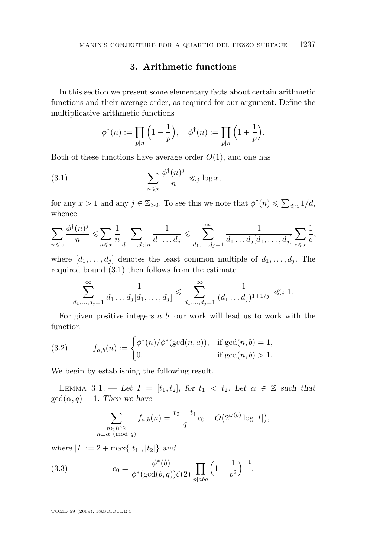#### **3. Arithmetic functions**

<span id="page-7-0"></span>In this section we present some elementary facts about certain arithmetic functions and their average order, as required for our argument. Define the multiplicative arithmetic functions

$$
\phi^*(n) := \prod_{p|n} \left(1 - \frac{1}{p}\right), \quad \phi^{\dagger}(n) := \prod_{p|n} \left(1 + \frac{1}{p}\right).
$$

Both of these functions have average order  $O(1)$ , and one has

(3.1) 
$$
\sum_{n \leq x} \frac{\phi^{\dagger}(n)^j}{n} \ll_j \log x,
$$

for any  $x > 1$  and any  $j \in \mathbb{Z}_{>0}$ . To see this we note that  $\phi^{\dagger}(n) \leq \sum_{d|n} 1/d$ , whence

$$
\sum_{n\leqslant x}\frac{\phi^\dagger(n)^j}{n}\leqslant \sum_{n\leqslant x}\frac{1}{n}\sum_{d_1,\dots,d_j|n}\frac{1}{d_1\dots d_j}\leqslant \sum_{d_1,\dots,d_j=1}^{\infty}\frac{1}{d_1\dots d_j[d_1,\dots,d_j]}\sum_{e\leqslant x}\frac{1}{e},
$$

where  $[d_1, \ldots, d_j]$  denotes the least common multiple of  $d_1, \ldots, d_j$ . The required bound (3.1) then follows from the estimate

$$
\sum_{d_1,\dots,d_j=1}^{\infty} \frac{1}{d_1 \dots d_j [d_1,\dots,d_j]} \leqslant \sum_{d_1,\dots,d_j=1}^{\infty} \frac{1}{(d_1 \dots d_j)^{1+1/j}} \ll_j 1.
$$

For given positive integers  $a, b$ , our work will lead us to work with the function

(3.2) 
$$
f_{a,b}(n) := \begin{cases} \phi^*(n)/\phi^*(\gcd(n, a)), & \text{if } \gcd(n, b) = 1, \\ 0, & \text{if } \gcd(n, b) > 1. \end{cases}
$$

We begin by establishing the following result.

LEMMA 3.1. — Let  $I = [t_1, t_2]$ , for  $t_1 < t_2$ . Let  $\alpha \in \mathbb{Z}$  such that  $gcd(\alpha, q) = 1$ *. Then we have* 

$$
\sum_{\substack{n \in I \cap \mathbb{Z} \\ n \equiv \alpha \pmod{q}}} f_{a,b}(n) = \frac{t_2 - t_1}{q} c_0 + O(2^{\omega(b)} \log|I|),
$$

*where*  $|I| := 2 + \max\{|t_1|, |t_2|\}$  *and* 

(3.3) 
$$
c_0 = \frac{\phi^*(b)}{\phi^*(\gcd(b,q))\zeta(2)} \prod_{p|abq} \left(1 - \frac{1}{p^2}\right)^{-1}.
$$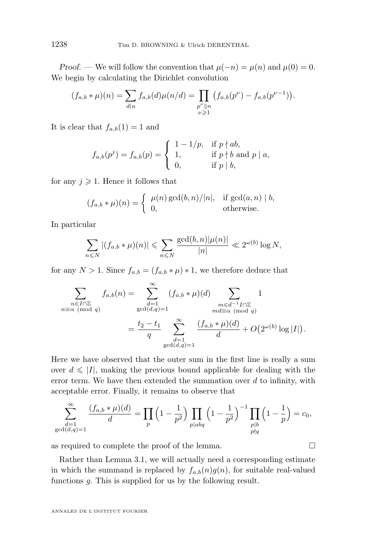<span id="page-8-0"></span>*Proof.* — We will follow the convention that  $\mu(-n) = \mu(n)$  and  $\mu(0) = 0$ . We begin by calculating the Dirichlet convolution

$$
(f_{a,b} * \mu)(n) = \sum_{d|n} f_{a,b}(d)\mu(n/d) = \prod_{\substack{p^{\nu} \parallel n \\ \nu \geq 1}} (f_{a,b}(p^{\nu}) - f_{a,b}(p^{\nu-1})).
$$

It is clear that  $f_{a,b}(1) = 1$  and

$$
f_{a,b}(p^j) = f_{a,b}(p) = \begin{cases} 1 - 1/p, & \text{if } p \nmid ab, \\ 1, & \text{if } p \nmid b \text{ and } p \mid a, \\ 0, & \text{if } p \mid b, \end{cases}
$$

for any  $j \geqslant 1$ . Hence it follows that

$$
(f_{a,b} * \mu)(n) = \begin{cases} \mu(n) \gcd(b,n)/|n|, & \text{if } \gcd(a,n) \mid b, \\ 0, & \text{otherwise.} \end{cases}
$$

In particular

$$
\sum_{n\leqslant N} |(f_{a,b}\ast\mu)(n)| \leqslant \sum_{n\leqslant N} \frac{\gcd(b,n)|\mu(n)|}{|n|} \ll 2^{\omega(b)}\log N,
$$

for any  $N > 1$ . Since  $f_{a,b} = (f_{a,b} * \mu) * 1$ , we therefore deduce that

$$
\sum_{\substack{n \in I \cap \mathbb{Z} \\ n \equiv \alpha \pmod{q}}} f_{a,b}(n) = \sum_{\substack{d=1 \\ \gcd(d,q)=1}}^{\infty} (f_{a,b} * \mu)(d) \sum_{\substack{m \in d^{-1}I \cap \mathbb{Z} \\ nd \equiv \alpha \pmod{q} \\ n d \equiv \alpha \pmod{q}}} 1
$$

$$
= \frac{t_2 - t_1}{q} \sum_{\substack{d=1 \\ \gcd(d,q)=1}}^{\infty} \frac{(f_{a,b} * \mu)(d)}{d} + O(2^{\omega(b)} \log|I|).
$$

Here we have observed that the outer sum in the first line is really a sum over  $d \leq |I|$ , making the previous bound applicable for dealing with the error term. We have then extended the summation over  $d$  to infinity, with acceptable error. Finally, it remains to observe that

$$
\sum_{\substack{d=1 \ \gcd(d,q)=1}}^{\infty} \frac{(f_{a,b} * \mu)(d)}{d} = \prod_{p} \left(1 - \frac{1}{p^2}\right) \prod_{p | abq} \left(1 - \frac{1}{p^2}\right)^{-1} \prod_{\substack{p \mid b \ p \nmid q}} \left(1 - \frac{1}{p}\right) = c_0,
$$

as required to complete the proof of the lemma.  $\Box$ 

Rather than Lemma [3.1,](#page-7-0) we will actually need a corresponding estimate in which the summand is replaced by  $f_{a,b}(n)g(n)$ , for suitable real-valued functions g. This is supplied for us by the following result.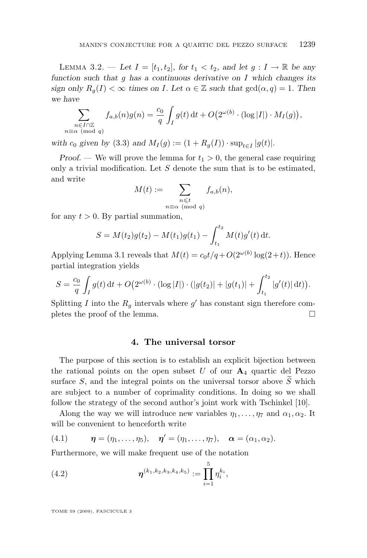<span id="page-9-0"></span>LEMMA 3.2. — Let  $I = [t_1, t_2]$ , for  $t_1 < t_2$ , and let  $g: I \to \mathbb{R}$  be any *function such that* g *has a continuous derivative on* I *which changes its sign only*  $R_q(I) < \infty$  *times on I. Let*  $\alpha \in \mathbb{Z}$  *such that*  $gcd(\alpha, q) = 1$ *. Then we have*

$$
\sum_{\substack{n \in I \cap \mathbb{Z} \\ n \equiv \alpha \pmod{q}}} f_{a,b}(n)g(n) = \frac{c_0}{q} \int_I g(t) dt + O(2^{\omega(b)} \cdot (\log|I|) \cdot M_I(g)),
$$

*with*  $c_0$  *given by* [\(3.3\)](#page-7-0) *and*  $M_I(g) := (1 + R_g(I)) \cdot \sup_{t \in I} |g(t)|$ .

*Proof.* — We will prove the lemma for  $t_1 > 0$ , the general case requiring only a trivial modification. Let  $S$  denote the sum that is to be estimated, and write

$$
M(t) := \sum_{\substack{n \leqslant t \\ n \equiv \alpha \pmod{q}}} f_{a,b}(n),
$$

for any  $t > 0$ . By partial summation,

$$
S = M(t_2)g(t_2) - M(t_1)g(t_1) - \int_{t_1}^{t_2} M(t)g'(t) dt.
$$

Applying Lemma [3.1](#page-7-0) reveals that  $M(t) = c_0 t/q + O(2^{\omega(b)} \log(2+t))$ . Hence partial integration yields

$$
S = \frac{c_0}{q} \int_I g(t) dt + O(2^{\omega(b)} \cdot (\log |I|) \cdot (|g(t_2)| + |g(t_1)| + \int_{t_1}^{t_2} |g'(t)| dt)).
$$

Splitting I into the  $R_g$  intervals where  $g'$  has constant sign therefore completes the proof of the lemma.  $\square$ 

#### **4. The universal torsor**

The purpose of this section is to establish an explicit bijection between the rational points on the open subset U of our  $A_4$  quartic del Pezzo surface S, and the integral points on the universal torsor above  $\widetilde{S}$  which are subject to a number of coprimality conditions. In doing so we shall follow the strategy of the second author's joint work with Tschinkel [\[10\]](#page-35-0).

Along the way we will introduce new variables  $\eta_1, \ldots, \eta_7$  and  $\alpha_1, \alpha_2$ . It will be convenient to henceforth write

(4.1) 
$$
\boldsymbol{\eta} = (\eta_1, \ldots, \eta_5), \quad \boldsymbol{\eta}' = (\eta_1, \ldots, \eta_7), \quad \boldsymbol{\alpha} = (\alpha_1, \alpha_2).
$$

Furthermore, we will make frequent use of the notation

(4.2) 
$$
\boldsymbol{\eta}^{(k_1,k_2,k_3,k_4,k_5)} := \prod_{i=1}^5 \eta_i^{k_i},
$$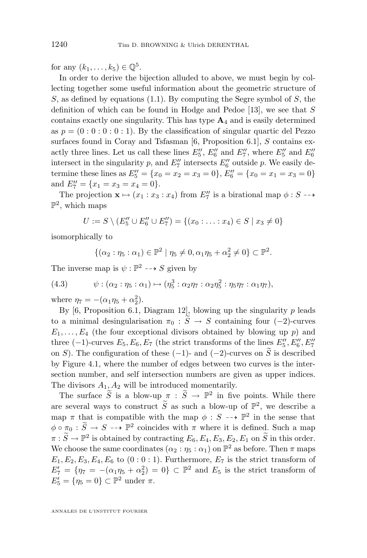<span id="page-10-0"></span>for any  $(k_1,\ldots,k_5) \in \mathbb{Q}^5$ .

In order to derive the bijection alluded to above, we must begin by collecting together some useful information about the geometric structure of S, as defined by equations  $(1.1)$ . By computing the Segre symbol of S, the definition of which can be found in Hodge and Pedoe [\[13\]](#page-35-0), we see that  $S$ contains exactly one singularity. This has type  $A_4$  and is easily determined as  $p = (0:0:0:0:1)$ . By the classification of singular quartic del Pezzo surfaces found in Coray and Tsfasman [\[6,](#page-35-0) Proposition 6.1], S contains exactly three lines. Let us call these lines  $E_5'', E_6''$  and  $E_7'',$  where  $E_5''$  and  $E_6''$ intersect in the singularity p, and  $E_7''$  intersects  $E_6''$  outside p. We easily determine these lines as  $E_5'' = \{x_0 = x_2 = x_3 = 0\}$ ,  $E_6'' = \{x_0 = x_1 = x_3 = 0\}$ and  $E_7'' = \{x_1 = x_3 = x_4 = 0\}.$ 

The projection  $\mathbf{x} \mapsto (x_1 : x_3 : x_4)$  from  $E_7''$  is a birational map  $\phi : S \dashrightarrow$  $\mathbb{P}^2$ , which maps

$$
U := S \setminus (E_5'' \cup E_6'' \cup E_7'') = \{(x_0 : \ldots : x_4) \in S \mid x_3 \neq 0\}
$$

isomorphically to

 $\{(\alpha_2 : \eta_5 : \alpha_1) \in \mathbb{P}^2 \mid \eta_5 \neq 0, \alpha_1 \eta_5 + \alpha_2^2 \neq 0\} \subset \mathbb{P}^2.$ 

The inverse map is  $\psi : \mathbb{P}^2 \dashrightarrow S$  given by

$$
(4.3) \qquad \psi: (\alpha_2 : \eta_5 : \alpha_1) \mapsto (\eta_5^3 : \alpha_2 \eta_7 : \alpha_2 \eta_5^2 : \eta_5 \eta_7 : \alpha_1 \eta_7),
$$

where  $\eta_7 = -(\alpha_1 \eta_5 + \alpha_2^2)$ .

By [\[6,](#page-35-0) Proposition 6.1, Diagram 12], blowing up the singularity  $p$  leads to a minimal desingularisation  $\pi_0 : \widetilde{S} \to S$  containing four (−2)-curves  $E_1, \ldots, E_4$  (the four exceptional divisors obtained by blowing up p) and three (-1)-curves  $E_5, E_6, E_7$  (the strict transforms of the lines  $E_5'', E_6'', E_7''$ on S). The configuration of these  $(-1)$ - and  $(-2)$ -curves on S is described by Figure [4.1,](#page-11-0) where the number of edges between two curves is the intersection number, and self intersection numbers are given as upper indices. The divisors  $A_1, A_2$  will be introduced momentarily.

The surface  $\widetilde{S}$  is a blow-up  $\pi : \widetilde{S} \to \mathbb{P}^2$  in five points. While there are several ways to construct  $\widetilde{S}$  as such a blow-up of  $\mathbb{P}^2$ , we describe a map  $\pi$  that is compatible with the map  $\phi : S \dashrightarrow \mathbb{P}^2$  in the sense that  $\phi \circ \pi_0 : \widetilde{S} \to S \dashrightarrow \mathbb{P}^2$  coincides with  $\pi$  where it is defined. Such a map  $\pi : \widetilde{S} \to \mathbb{P}^2$  is obtained by contracting  $E_6, E_4, E_3, E_2, E_1$  on  $\widetilde{S}$  in this order. We choose the same coordinates  $(\alpha_2 : \eta_5 : \alpha_1)$  on  $\mathbb{P}^2$  as before. Then  $\pi$  maps  $E_1, E_2, E_3, E_4, E_6$  to  $(0:0:1)$ . Furthermore,  $E_7$  is the strict transform of  $E_7' = \{ \eta_7 = -(\alpha_1 \eta_5 + \alpha_2^2) = 0 \} \subset \mathbb{P}^2$  and  $E_5$  is the strict transform of  $E'_5 = \{\eta_5 = 0\} \subset \mathbb{P}^2$  under  $\pi$ .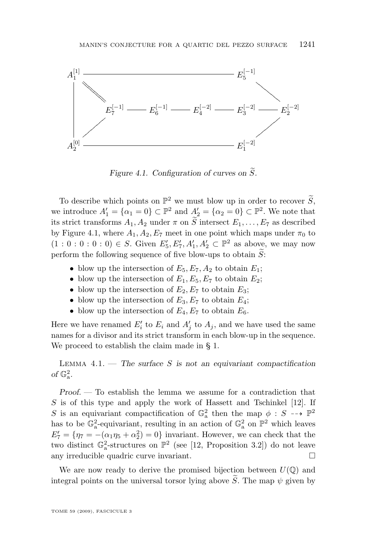<span id="page-11-0"></span>

*Figure 4.1.* Configuration of curves on  $\tilde{S}$ .

To describe which points on  $\mathbb{P}^2$  we must blow up in order to recover  $\widetilde{S}$ , we introduce  $A'_1 = {\alpha_1 = 0} \subset \mathbb{P}^2$  and  $A'_2 = {\alpha_2 = 0} \subset \mathbb{P}^2$ . We note that its strict transforms  $A_1, A_2$  under  $\pi$  on  $\widetilde{S}$  intersect  $E_1, \ldots, E_7$  as described by Figure 4.1, where  $A_1, A_2, E_7$  meet in one point which maps under  $\pi_0$  to  $(1:0:0:0:0) \in S$ . Given  $E'_{5}$ ,  $E'_{7}$ ,  $A'_{1}$ ,  $A'_{2} \subset \mathbb{P}^{2}$  as above, we may now perform the following sequence of five blow-ups to obtain  $\widetilde{S}$ :

- blow up the intersection of  $E_5, E_7, A_2$  to obtain  $E_1$ ;
- blow up the intersection of  $E_1, E_5, E_7$  to obtain  $E_2$ ;
- blow up the intersection of  $E_2, E_7$  to obtain  $E_3$ ;
- blow up the intersection of  $E_3, E_7$  to obtain  $E_4$ ;
- blow up the intersection of  $E_4, E_7$  to obtain  $E_6$ .

Here we have renamed  $E'_i$  to  $E_i$  and  $A'_j$  to  $A_j$ , and we have used the same names for a divisor and its strict transform in each blow-up in the sequence. We proceed to establish the claim made in § [1.](#page-1-0)

Lemma 4.1. — *The surface* S *is not an equivariant compactification* of  $\mathbb{G}_{a}^{2}$ .

*Proof. —* To establish the lemma we assume for a contradiction that  $S$  is of this type and apply the work of Hassett and Tschinkel  $[12]$ . If S is an equivariant compactification of  $\mathbb{G}^2$  then the map  $\phi : S \dashrightarrow \mathbb{P}^2$ has to be  $\mathbb{G}_{a}^{2}$ -equivariant, resulting in an action of  $\mathbb{G}_{a}^{2}$  on  $\mathbb{P}^{2}$  which leaves  $E_7' = \{\eta_7 = -(\alpha_1 \eta_5 + \alpha_2^2) = 0\}$  invariant. However, we can check that the two distinct  $\mathbb{G}_a^2$ -structures on  $\mathbb{P}^2$  (see [\[12,](#page-35-0) Proposition 3.2]) do not leave any irreducible quadric curve invariant.

We are now ready to derive the promised bijection between  $U(\mathbb{Q})$  and integral points on the universal torsor lying above  $\widetilde{S}$ . The map  $\psi$  given by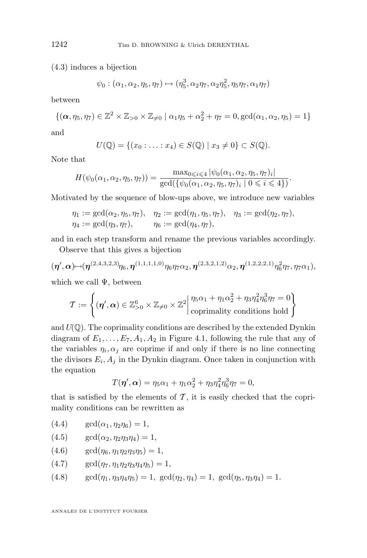[\(4.3\)](#page-10-0) induces a bijection

$$
\psi_0 : (\alpha_1, \alpha_2, \eta_5, \eta_7) \mapsto (\eta_5^3, \alpha_2 \eta_7, \alpha_2 \eta_5^2, \eta_5 \eta_7, \alpha_1 \eta_7)
$$

between

$$
\{(\boldsymbol{\alpha},\eta_5,\eta_7)\in\mathbb{Z}^2\times\mathbb{Z}_{>0}\times\mathbb{Z}_{\neq0} \mid \alpha_1\eta_5+\alpha_2^2+\eta_7=0,\gcd(\alpha_1,\alpha_2,\eta_5)=1\}
$$

and

$$
U(\mathbb{Q}) = \{(x_0 : \ldots : x_4) \in S(\mathbb{Q}) \mid x_3 \neq 0\} \subset S(\mathbb{Q}).
$$

Note that

$$
H(\psi_0(\alpha_1, \alpha_2, \eta_5, \eta_7)) = \frac{\max_{0 \le i \le 4} |\psi_0(\alpha_1, \alpha_2, \eta_5, \eta_7)_i|}{\gcd(\{\psi_0(\alpha_1, \alpha_2, \eta_5, \eta_7)_i \mid 0 \le i \le 4\})}.
$$

Motivated by the sequence of blow-ups above, we introduce new variables

$$
\eta_1 := \gcd(\alpha_2, \eta_5, \eta_7), \quad \eta_2 := \gcd(\eta_1, \eta_5, \eta_7), \quad \eta_3 := \gcd(\eta_2, \eta_7), \eta_4 := \gcd(\eta_3, \eta_7), \quad \eta_6 := \gcd(\eta_4, \eta_7),
$$

and in each step transform and rename the previous variables accordingly.

Observe that this gives a bijection

$$
(\boldsymbol{\eta}',\boldsymbol{\alpha}) \mapsto (\boldsymbol{\eta}^{(2,4,3,2,3)} \eta_6, \boldsymbol{\eta}^{(1,1,1,1,0)} \eta_6 \eta_7 \alpha_2, \boldsymbol{\eta}^{(2,3,2,1,2)} \alpha_2, \boldsymbol{\eta}^{(1,2,2,2,1)} \eta_6^2 \eta_7, \eta_7 \alpha_1),
$$

which we call  $\Psi$ , between

$$
\mathcal{T} := \left\{ (\boldsymbol{\eta}', \boldsymbol{\alpha}) \in \mathbb{Z}_{>0}^6 \times \mathbb{Z}_{\neq 0} \times \mathbb{Z}^2 \middle\vert \begin{matrix} \eta_5 \alpha_1 + \eta_1 \alpha_2^2 + \eta_3 \eta_4^2 \eta_6^3 \eta_7 = 0 \\ \text{coprimality conditions hold} \end{matrix} \right\}
$$

and  $U(\mathbb{Q})$ . The coprimality conditions are described by the extended Dynkin diagram of  $E_1, \ldots, E_7, A_1, A_2$  in Figure [4.1,](#page-11-0) following the rule that any of the variables  $\eta_i, \alpha_j$  are coprime if and only if there is no line connecting the divisors  $E_i$ ,  $A_j$  in the Dynkin diagram. Once taken in conjunction with the equation

$$
T(\pmb{\eta}', \pmb{\alpha}) = \eta_5 \alpha_1 + \eta_1 \alpha_2^2 + \eta_3 \eta_4^2 \eta_6^3 \eta_7 = 0,
$$

that is satisfied by the elements of  $\mathcal{T}$ , it is easily checked that the coprimality conditions can be rewritten as

- (4.4)  $\gcd(\alpha_1, \eta_2 \eta_6) = 1$ ,
- (4.5)  $\gcd(\alpha_2, \eta_2\eta_3\eta_4) = 1$ ,
- $(4.6) \qquad \gcd(\eta_6, \eta_1 \eta_2 \eta_3 \eta_5) = 1,$
- (4.7)  $\gcd(\eta_7, \eta_1 \eta_2 \eta_3 \eta_4 \eta_5) = 1$ ,
- (4.8)  $\gcd(\eta_1, \eta_3 \eta_4 \eta_5) = 1$ ,  $\gcd(\eta_2, \eta_4) = 1$ ,  $\gcd(\eta_5, \eta_3 \eta_4) = 1$ .

<span id="page-12-0"></span>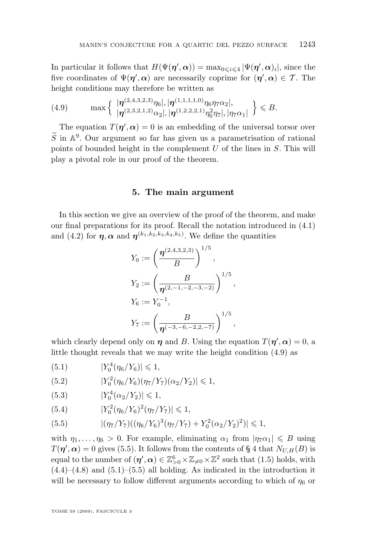<span id="page-13-0"></span>In particular it follows that  $H(\Psi(\eta', \alpha)) = \max_{0 \leq i \leq 4} |\Psi(\eta', \alpha)_i|$ , since the five coordinates of  $\Psi(\eta', \alpha)$  are necessarily coprime for  $(\eta', \alpha) \in \mathcal{T}$ . The height conditions may therefore be written as

$$
(4.9) \qquad \max\left\{\begin{array}{l}\left|\eta^{(2,4,3,2,3)}\eta_6\right|,|\eta^{(1,1,1,1,0)}\eta_6\eta_7\alpha_2|,\\ \left|\eta^{(2,3,2,1,2)}\alpha_2\right|,|\eta^{(1,2,2,2,1)}\eta_6^2\eta_7|,|\eta_7\alpha_1|\end{array}\right\}\leqslant B.
$$

The equation  $T(\eta', \alpha) = 0$  is an embedding of the universal torsor over  $\widetilde{S}$  in  $\mathbb{A}^9$ . Our argument so far has given us a parametrisation of rational points of bounded height in the complement  $U$  of the lines in  $S$ . This will play a pivotal role in our proof of the theorem.

#### **5. The main argument**

In this section we give an overview of the proof of the theorem, and make our final preparations for its proof. Recall the notation introduced in [\(4.1\)](#page-9-0) and [\(4.2\)](#page-9-0) for  $\eta$ ,  $\alpha$  and  $\eta^{(k_1,k_2,k_3,k_4,k_5)}$ . We define the quantities

$$
Y_0 := \left(\frac{\eta^{(2,4,3,2,3)}}{B}\right)^{1/5},
$$
  
\n
$$
Y_2 := \left(\frac{B}{\eta^{(2,-1,-2,-3,-2)}}\right)^{1/5},
$$
  
\n
$$
Y_6 := Y_0^{-1},
$$
  
\n
$$
Y_7 := \left(\frac{B}{\eta^{(-3,-6,-2,2,-7)}}\right)^{1/5},
$$

which clearly depend only on  $\eta$  and B. Using the equation  $T(\eta', \alpha) = 0$ , a little thought reveals that we may write the height condition (4.9) as

$$
(5.1) \t\t\t |Y_0^4(\eta_6/Y_6)| \leq 1,
$$

(5.2) 
$$
|Y_0^2(\eta_6/Y_6)(\eta_7/Y_7)(\alpha_2/Y_2)| \leq 1,
$$

$$
(5.3) \t\t\t |Y_0^4(\alpha_2/Y_2)| \leq 1,
$$

(5.4) 
$$
|Y_0^2(\eta_6/Y_6)^2(\eta_7/Y_7)| \leq 1,
$$

$$
(5.5) \qquad |(\eta_7/Y_7)((\eta_6/Y_6)^3(\eta_7/Y_7) + Y_0^2(\alpha_2/Y_2)^2)| \leq 1,
$$

with  $\eta_1, \ldots, \eta_6 > 0$ . For example, eliminating  $\alpha_1$  from  $|\eta_7 \alpha_1| \leq B$  using  $T(\boldsymbol{\eta}', \boldsymbol{\alpha}) = 0$  gives (5.5). It follows from the contents of § [4](#page-9-0) that  $N_{U,H}(B)$  is equal to the number of  $(\eta', \alpha) \in \mathbb{Z}_{>0}^6 \times \mathbb{Z}_{\neq 0} \times \mathbb{Z}^2$  such that [\(1.5\)](#page-3-0) holds, with  $(4.4)$ – $(4.8)$  and  $(5.1)$ – $(5.5)$  all holding. As indicated in the introduction it will be necessary to follow different arguments according to which of  $\eta_6$  or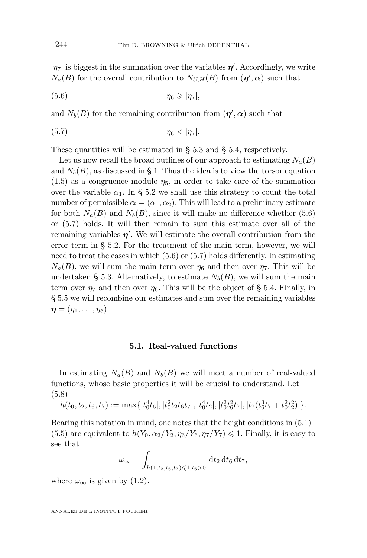<span id="page-14-0"></span> $|\eta_7|$  is biggest in the summation over the variables  $\eta'$ . Accordingly, we write  $N_a(B)$  for the overall contribution to  $N_{U,H}(B)$  from  $(\eta', \alpha)$  such that

$$
(5.6) \t\t \eta_6 \geqslant |\eta_7|,
$$

and  $N_b(B)$  for the remaining contribution from  $(\eta', \alpha)$  such that

$$
(5.7) \t\t \eta_6 < |\eta_7|.
$$

These quantities will be estimated in § [5.3](#page-20-0) and § [5.4,](#page-25-0) respectively.

Let us now recall the broad outlines of our approach to estimating  $N_a(B)$ and  $N_b(B)$ , as discussed in § [1.](#page-1-0) Thus the idea is to view the torsor equation  $(1.5)$  as a congruence modulo  $\eta_5$ , in order to take care of the summation over the variable  $\alpha_1$ . In § [5.2](#page-16-0) we shall use this strategy to count the total number of permissible  $\alpha = (\alpha_1, \alpha_2)$ . This will lead to a preliminary estimate for both  $N_a(B)$  and  $N_b(B)$ , since it will make no difference whether (5.6) or (5.7) holds. It will then remain to sum this estimate over all of the remaining variables  $\eta'$ . We will estimate the overall contribution from the error term in § [5.2.](#page-16-0) For the treatment of the main term, however, we will need to treat the cases in which (5.6) or (5.7) holds differently. In estimating  $N_a(B)$ , we will sum the main term over  $\eta_6$  and then over  $\eta_7$ . This will be undertaken § [5.3.](#page-20-0) Alternatively, to estimate  $N_b(B)$ , we will sum the main term over  $\eta_7$  and then over  $\eta_6$ . This will be the object of § [5.4.](#page-25-0) Finally, in § [5.5](#page-29-0) we will recombine our estimates and sum over the remaining variables  $\boldsymbol{\eta} = (\eta_1, \ldots, \eta_5).$ 

#### **5.1. Real-valued functions**

In estimating  $N_a(B)$  and  $N_b(B)$  we will meet a number of real-valued functions, whose basic properties it will be crucial to understand. Let (5.8)

 $h(t_0, t_2, t_6, t_7) := \max\{|t_0^4 t_6|, |t_0^2 t_2 t_6 t_7|, |t_0^4 t_2|, |t_0^2 t_6^2 t_7|, |t_7(t_6^3 t_7 + t_0^2 t_2^2)|\}.$ 

Bearing this notation in mind, one notes that the height conditions in  $(5.1)$ [\(5.5\)](#page-13-0) are equivalent to  $h(Y_0, \alpha_2/Y_2, \eta_6/Y_6, \eta_7/Y_7) \leq 1$ . Finally, it is easy to see that

$$
\omega_{\infty} = \int_{h(1,t_2,t_6,t_7)\leq 1,t_6>0} \, \mathrm{d}t_2 \, \mathrm{d}t_6 \, \mathrm{d}t_7,
$$

where  $\omega_{\infty}$  is given by [\(1.2\)](#page-2-0).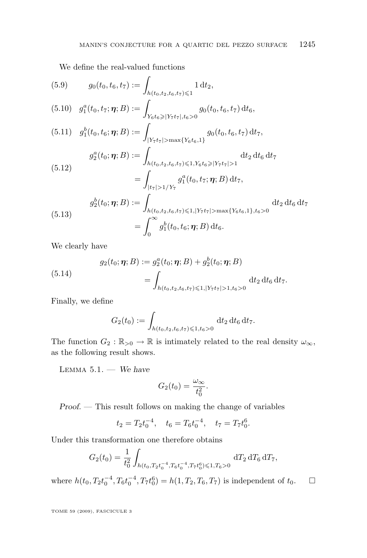<span id="page-15-0"></span>We define the real-valued functions

(5.9) 
$$
g_0(t_0, t_6, t_7) := \int_{h(t_0, t_2, t_6, t_7) \leq 1} 1 dt_2,
$$
  
\n(5.10) 
$$
g_1^a(t_0, t_7; \eta; B) := \int_{Y_6 t_6 \geq |Y_7 t_7|, t_6 > 0} g_0(t_0, t_6, t_7) dt_6,
$$
  
\n(5.11) 
$$
g_1^b(t_0, t_6; \eta; B) := \int_{|Y_7 t_7| > \max\{Y_6 t_6, 1\}} g_0(t_0, t_6, t_7) dt_7,
$$
  
\n
$$
g_2^a(t_0; \eta; B) := \int_{h(t_0, t_2, t_6, t_7) \leq 1, Y_6 t_6 \geq |Y_7 t_7| > 1} dt_2 dt_6 dt_7
$$
  
\n(5.12) 
$$
= \int_{|t_7| > 1/Y_7} g_1^a(t_0, t_7; \eta; B) dt_7,
$$
  
\n
$$
g_2^b(t_0; \eta; B) := \int_{h(t_0, t_2, t_6, t_7) \leq 1, |Y_7 t_7| > \max\{Y_6 t_6, 1\}, t_6 > 0} dt_2 dt_6 dt_7
$$
  
\n(5.13) 
$$
= \int_0^\infty g_1^b(t_0, t_6; \eta; B) dt_6.
$$

We clearly have

(5.14) 
$$
g_2(t_0; \eta; B) := g_2^a(t_0; \eta; B) + g_2^b(t_0; \eta; B)
$$

$$
= \int_{h(t_0, t_2, t_6, t_7) \leq 1, |Y_7 t_7| > 1, t_6 > 0} dt_2 dt_6 dt_7.
$$

Finally, we define

$$
G_2(t_0) := \int_{h(t_0, t_2, t_6, t_7) \leq 1, t_6 > 0} \, \mathrm{d}t_2 \, \mathrm{d}t_6 \, \mathrm{d}t_7.
$$

The function  $G_2 : \mathbb{R}_{>0} \to \mathbb{R}$  is intimately related to the real density  $\omega_{\infty}$ , as the following result shows.

Lemma 5.1. — *We have*

$$
G_2(t_0) = \frac{\omega_{\infty}}{t_0^2}.
$$

*Proof. —* This result follows on making the change of variables

$$
t_2 = T_2 t_0^{-4}
$$
,  $t_6 = T_6 t_0^{-4}$ ,  $t_7 = T_7 t_0^6$ .

Under this transformation one therefore obtains

$$
G_2(t_0) = \frac{1}{t_0^2} \int_{h(t_0, T_2 t_0^{-4}, T_6 t_0^{-4}, T_7 t_0^6) \leq 1, T_6 > 0} dT_2 dT_6 dT_7,
$$

where  $h(t_0, T_2t_0^{-4}, T_6t_0^{-4}, T_7t_0^6) = h(1, T_2, T_6, T_7)$  is independent of  $t_0$ .  $\Box$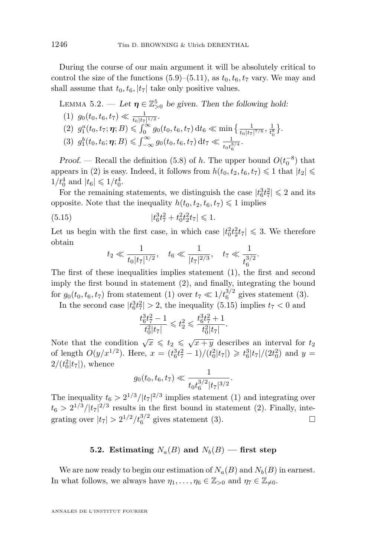<span id="page-16-0"></span>During the course of our main argument it will be absolutely critical to control the size of the functions  $(5.9)$ – $(5.11)$ , as  $t_0, t_6, t_7$  vary. We may and shall assume that  $t_0, t_6, |t_7|$  take only positive values.

LEMMA 5.2. — Let 
$$
\eta \in \mathbb{Z}_{>0}^5
$$
 be given. Then the following hold:  
\n(1)  $g_0(t_0, t_6, t_7) \ll \frac{1}{t_0 |t_7|^{1/2}}$ .  
\n(2)  $g_1^a(t_0, t_7; \eta; B) \leq \int_0^\infty g_0(t_0, t_6, t_7) dt_6 \ll \min\left\{\frac{1}{t_0 |t_7|^{7/6}}, \frac{1}{t_0^8}\right\}$ .  
\n(3)  $g_1^b(t_0, t_6; \eta; B) \leq \int_{-\infty}^\infty g_0(t_0, t_6, t_7) dt_7 \ll \frac{1}{t_0 t_0^{3/4}}$ .

*Proof.* — Recall the definition [\(5.8\)](#page-14-0) of h. The upper bound  $O(t_0^{-8})$  that appears in (2) is easy. Indeed, it follows from  $h(t_0, t_2, t_6, t_7) \leq 1$  that  $|t_2| \leq$  $1/t_0^4$  and  $|t_6| \leq 1/t_0^4$ .

For the remaining statements, we distinguish the case  $|t_6^3 t_7^2| \leq 2$  and its opposite. Note that the inequality  $h(t_0, t_2, t_6, t_7) \leq 1$  implies

(5.15) 
$$
|t_6^3 t_7^2 + t_0^2 t_2^2 t_7| \leq 1.
$$

Let us begin with the first case, in which case  $|t_0^2t_2^2t_7| \leq 3$ . We therefore obtain

$$
t_2 \ll \frac{1}{t_0|t_7|^{1/2}}, \quad t_6 \ll \frac{1}{|t_7|^{2/3}}, \quad t_7 \ll \frac{1}{t_6^{3/2}}.
$$

The first of these inequalities implies statement (1), the first and second imply the first bound in statement (2), and finally, integrating the bound for  $g_0(t_0, t_6, t_7)$  from statement (1) over  $t_7 \ll 1/t_6^{3/2}$  gives statement (3).

In the second case  $|t_6^3 t_7^2| > 2$ , the inequality (5.15) implies  $t_7 < 0$  and

$$
\frac{t_6^3 t_7^2 - 1}{t_0^2 |t_7|} \leq t_2^2 \leq \frac{t_6^3 t_7^2 + 1}{t_0^2 |t_7|}.
$$

Note that the condition  $\sqrt{x} \leq t_2 \leq \sqrt{x+y}$  describes an interval for  $t_2$ of length  $O(y/x^{1/2})$ . Here,  $x = (t_6^3 t_7^2 - 1)/(t_0^2 |t_7|) \geq t_6^3 |t_7|/(2t_0^2)$  and  $y =$  $2/(t_0^2|t_7|)$ , whence

$$
g_0(t_0, t_6, t_7) \ll \frac{1}{t_0 t_6^{3/2} |t_7|^{3/2}}.
$$

The inequality  $t_6 > 2^{1/3} / |t_7|^{2/3}$  implies statement (1) and integrating over  $t_6 > 2^{1/3} / |t_7|^{2/3}$  results in the first bound in statement (2). Finally, integrating over  $|t_7| > 2^{1/2}/t_6^{3/2}$  gives statement (3).

#### **5.2.** Estimating  $N_a(B)$  and  $N_b(B)$  — first step

We are now ready to begin our estimation of  $N_a(B)$  and  $N_b(B)$  in earnest. In what follows, we always have  $\eta_1, \ldots, \eta_6 \in \mathbb{Z}_{>0}$  and  $\eta_7 \in \mathbb{Z}_{\neq 0}$ .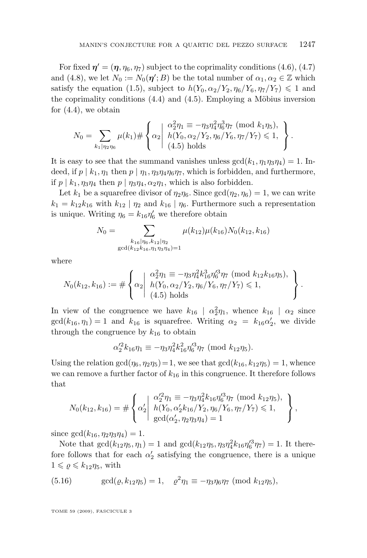<span id="page-17-0"></span>For fixed  $\boldsymbol{\eta}' = (\boldsymbol{\eta}, \eta_6, \eta_7)$  subject to the coprimality conditions [\(4.6\)](#page-12-0), [\(4.7\)](#page-12-0) and [\(4.8\)](#page-12-0), we let  $N_0 := N_0(\eta';B)$  be the total number of  $\alpha_1, \alpha_2 \in \mathbb{Z}$  which satisfy the equation [\(1.5\)](#page-3-0), subject to  $h(Y_0, \alpha_2/Y_2, \eta_6/Y_6, \eta_7/Y_7) \leq 1$  and the coprimality conditions [\(4.4\)](#page-12-0) and [\(4.5\)](#page-12-0). Employing a Möbius inversion for  $(4.4)$ , we obtain

$$
N_0 = \sum_{k_1|\eta_2\eta_6} \mu(k_1) \# \left\{ \alpha_2 \middle| \begin{array}{l} \alpha_2^2 \eta_1 \equiv -\eta_3 \eta_4^2 \eta_6^3 \eta_7 \pmod{k_1 \eta_5}, \\ h(Y_0, \alpha_2/Y_2, \eta_6/Y_6, \eta_7/Y_7) \leq 1, \\ (4.5) \text{ holds} \end{array} \right\}.
$$

It is easy to see that the summand vanishes unless  $gcd(k_1, \eta_1 \eta_3 \eta_4) = 1$ . Indeed, if  $p \mid k_1, \eta_1$  then  $p \mid \eta_1, \eta_3 \eta_4 \eta_6 \eta_7$ , which is forbidden, and furthermore, if  $p \mid k_1, \eta_3\eta_4$  then  $p \mid \eta_3\eta_4, \alpha_2\eta_1$ , which is also forbidden.

Let  $k_1$  be a squarefree divisor of  $\eta_2\eta_6$ . Since  $gcd(\eta_2, \eta_6) = 1$ , we can write  $k_1 = k_{12}k_{16}$  with  $k_{12} | \eta_2$  and  $k_{16} | \eta_6$ . Furthermore such a representation is unique. Writing  $\eta_6 = k_{16} \eta'_6$  we therefore obtain

$$
N_0 = \sum_{\substack{k_{16}|\eta_6, k_{12}|\eta_2 \\ \gcd(k_{12}k_{16}, \eta_1\eta_3\eta_4)=1}} \mu(k_{12})\mu(k_{16})N_0(k_{12}, k_{16})
$$

where

$$
N_0(k_{12}, k_{16}) := \#\left\{\alpha_2 \middle| \begin{array}{l} \alpha_2^2 \eta_1 \equiv -\eta_3 \eta_4^2 k_{16}^3 \eta_6'^3 \eta_7 \pmod{k_{12}k_{16}\eta_5}, \\ h(Y_0, \alpha_2/Y_2, \eta_6/Y_6, \eta_7/Y_7) \leq 1, \\ (4.5) \text{ holds} \end{array} \right\}.
$$

In view of the congruence we have  $k_{16} \mid \alpha_2^2 \eta_1$ , whence  $k_{16} \mid \alpha_2$  since  $gcd(k_{16}, \eta_1) = 1$  and  $k_{16}$  is squarefree. Writing  $\alpha_2 = k_{16} \alpha'_2$ , we divide through the congruence by  $k_{16}$  to obtain

$$
\alpha_2'^2 k_{16} \eta_1 \equiv -\eta_3 \eta_4^2 k_{16}^2 \eta_6'^3 \eta_7 \; (\text{mod } k_{12} \eta_5).
$$

Using the relation  $gcd(\eta_6, \eta_2\eta_5) = 1$ , we see that  $gcd(k_{16}, k_{12}\eta_5) = 1$ , whence we can remove a further factor of  $k_{16}$  in this congruence. It therefore follows that

$$
N_0(k_{12}, k_{16}) = \#\left\{\alpha_2' \middle| \begin{array}{l}\alpha_2'^2 \eta_1 \equiv -\eta_3 \eta_4^2 k_{16} \eta_6'^3 \eta_7 \pmod{k_{12} \eta_5},\\ h(Y_0, \alpha_2' k_{16}/Y_2, \eta_6/Y_6, \eta_7/Y_7) \leq 1,\\ \gcd(\alpha_2', \eta_2 \eta_3 \eta_4) = 1\end{array}\right\},
$$

since  $gcd(k_{16}, \eta_2\eta_3\eta_4) = 1$ .

Note that  $gcd(k_{12}\eta_5, \eta_1) = 1$  and  $gcd(k_{12}\eta_5, \eta_3\eta_4^2k_{16}\eta_6'^3\eta_7) = 1$ . It therefore follows that for each  $\alpha'_2$  satisfying the congruence, there is a unique  $1 \leqslant \varrho \leqslant k_{12}\eta_5$ , with

(5.16) 
$$
\gcd(\varrho, k_{12}\eta_5) = 1, \quad \varrho^2 \eta_1 \equiv -\eta_3 \eta_6 \eta_7 \; (\text{mod } k_{12}\eta_5),
$$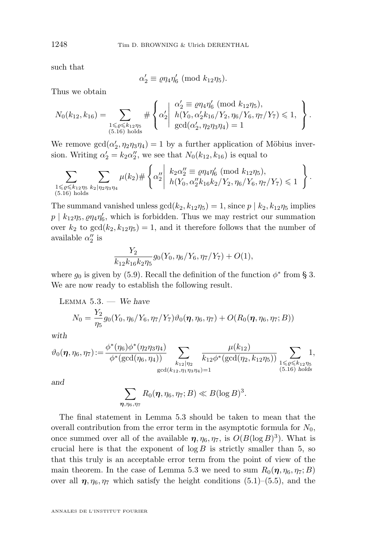such that

$$
\alpha_2' \equiv \varrho \eta_4 \eta_6' \; (\text{mod } k_{12} \eta_5).
$$

Thus we obtain

$$
N_0(k_{12}, k_{16}) = \sum_{\substack{1 \leq \varrho \leq k_{12}\eta_5 \\ (5.16) \text{ holds}}} \#\left\{\alpha_2' \middle| \begin{array}{l} \alpha_2' \equiv \varrho \eta_4 \eta_6' \pmod{k_{12}\eta_5}, \\ h(Y_0, \alpha_2' k_{16}/Y_2, \eta_6/Y_6, \eta_7/Y_7) \leq 1, \\ \gcd(\alpha_2', \eta_2 \eta_3 \eta_4) = 1 \end{array} \right\}.
$$

We remove  $gcd(\alpha_2', \eta_2\eta_3\eta_4) = 1$  by a further application of Möbius inversion. Writing  $\alpha'_2 = k_2 \alpha''_2$ , we see that  $N_0(k_{12}, k_{16})$  is equal to

$$
\sum_{\substack{1 \leqslant \varrho \leqslant k_{12}\eta_5 \\ (5.16) \text{ holds}}} \sum_{k_2|\eta_2\eta_3\eta_4} \mu(k_2) \# \left\{ \alpha_2'' \middle| \begin{array}{l} k_2\alpha_2'' \equiv \varrho\eta_4\eta_6' \pmod{k_{12}\eta_5}, \\ h(Y_0, \alpha_2'k_{16}k_2/Y_2, \eta_6/Y_6, \eta_7/Y_7) \leqslant 1 \end{array} \right\}.
$$

The summand vanished unless  $gcd(k_2, k_{12}\eta_5) = 1$ , since  $p | k_2, k_{12}\eta_5$  implies  $p \mid k_{12}\eta_5, \varrho\eta_4\eta'_6$ , which is forbidden. Thus we may restrict our summation over  $k_2$  to  $gcd(k_2, k_{12}\eta_5) = 1$ , and it therefore follows that the number of available  $\alpha_2''$  is

$$
\frac{Y_2}{k_{12}k_{16}k_2\eta_5}g_0(Y_0,\eta_6/Y_6,\eta_7/Y_7)+O(1),
$$

where  $g_0$  is given by [\(5.9\)](#page-15-0). Recall the definition of the function  $\phi^*$  from § [3.](#page-7-0) We are now ready to establish the following result.

LEMMA 5.3. — We have  
\n
$$
N_0 = \frac{Y_2}{\eta_5} g_0(Y_0, \eta_6/Y_6, \eta_7/Y_7) \vartheta_0(\eta, \eta_6, \eta_7) + O(R_0(\eta, \eta_6, \eta_7; B))
$$

*with*

$$
\vartheta_0(\eta, \eta_6, \eta_7) := \frac{\phi^*(\eta_6)\phi^*(\eta_2\eta_3\eta_4)}{\phi^*(\gcd(\eta_6, \eta_4))} \sum_{\substack{k_{12}|\eta_2\\ \gcd(k_{12}, \eta_1\eta_3\eta_4)=1}} \frac{\mu(k_{12})}{k_{12}\phi^*(\gcd(\eta_2, k_{12}\eta_5))} \sum_{\substack{1 \leq \varrho \leq k_{12}\eta_5\\(5.16) \text{ holds}}} 1,
$$

*and*

$$
\sum_{\boldsymbol{\eta},\eta_6,\eta_7} R_0(\boldsymbol{\eta},\eta_6,\eta_7;B) \ll B(\log B)^3.
$$

The final statement in Lemma 5.3 should be taken to mean that the overall contribution from the error term in the asymptotic formula for  $N_0$ , once summed over all of the available  $\eta$ ,  $\eta_6$ ,  $\eta_7$ , is  $O(B(\log B)^3)$ . What is crucial here is that the exponent of  $\log B$  is strictly smaller than 5, so that this truly is an acceptable error term from the point of view of the main theorem. In the case of Lemma 5.3 we need to sum  $R_0(\eta, \eta_6, \eta_7; B)$ over all  $\eta$ ,  $\eta_6$ ,  $\eta_7$  which satisfy the height conditions [\(5.1\)](#page-13-0)–[\(5.5\)](#page-13-0), and the

<span id="page-18-0"></span>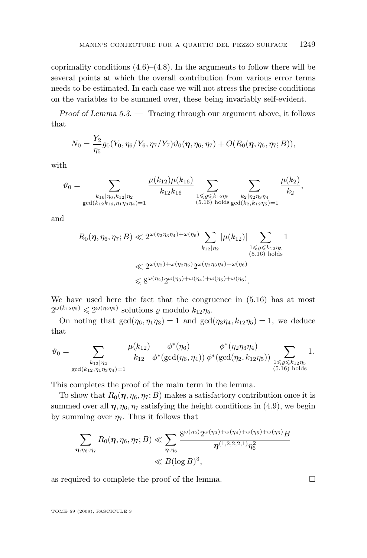coprimality conditions  $(4.6)$ – $(4.8)$ . In the arguments to follow there will be several points at which the overall contribution from various error terms needs to be estimated. In each case we will not stress the precise conditions on the variables to be summed over, these being invariably self-evident.

*Proof of Lemma [5.3.](#page-18-0) —* Tracing through our argument above, it follows that

$$
N_0 = \frac{Y_2}{\eta_5} g_0(Y_0, \eta_6/Y_6, \eta_7/Y_7) \vartheta_0(\eta, \eta_6, \eta_7) + O(R_0(\eta, \eta_6, \eta_7; B)),
$$

with

$$
\vartheta_0 = \sum_{\substack{k_{16}|\eta_6, k_{12}|\eta_2\\ \gcd(k_{12}k_{16}, \eta_1\eta_3\eta_4)=1}} \frac{\mu(k_{12})\mu(k_{16})}{k_{12}k_{16}} \sum_{\substack{1 \leq \varrho \leq k_{12}\eta_5\\(5.16) \text{ holds } \gcd(k_{2}, k_{12}\eta_5)=1}} \frac{\mu(k_2)}{k_2},
$$

and

$$
R_0(\eta, \eta_6, \eta_7; B) \ll 2^{\omega(\eta_2 \eta_3 \eta_4) + \omega(\eta_6)} \sum_{k_{12}|\eta_2} |\mu(k_{12})| \sum_{\substack{1 \le \varrho \le k_{12} \eta_5 \ (5.16) \text{ holds}}} 1
$$
  

$$
\ll 2^{\omega(\eta_2) + \omega(\eta_2 \eta_5)} 2^{\omega(\eta_2 \eta_3 \eta_4) + \omega(\eta_6)}
$$
  

$$
\le 8^{\omega(\eta_2)} 2^{\omega(\eta_3) + \omega(\eta_4) + \omega(\eta_5) + \omega(\eta_6)}.
$$

We have used here the fact that the congruence in [\(5.16\)](#page-17-0) has at most  $2^{\omega(k_{12}\eta_5)} \leq 2^{\omega(\eta_2\eta_5)}$  solutions  $\varrho$  modulo  $k_{12}\eta_5$ .

On noting that  $gcd(\eta_6, \eta_1 \eta_3) = 1$  and  $gcd(\eta_3 \eta_4, k_{12} \eta_5) = 1$ , we deduce that

$$
\vartheta_0 = \sum_{\substack{k_{12}|\eta_2 \\ \gcd(k_{12},\eta_1\eta_3\eta_4)=1}} \frac{\mu(k_{12})}{k_{12}} \frac{\phi^*(\eta_6)}{\phi^*(\gcd(\eta_6,\eta_4))} \frac{\phi^*(\eta_2\eta_3\eta_4)}{\phi^*(\gcd(\eta_2,k_{12}\eta_5))} \sum_{\substack{1 \leqslant \varrho \leqslant k_{12}\eta_5 \\ (5.16) \text{ holds}}} 1.
$$

This completes the proof of the main term in the lemma.

To show that  $R_0(\eta, \eta_6, \eta_7; B)$  makes a satisfactory contribution once it is summed over all  $\eta$ ,  $\eta_6$ ,  $\eta_7$  satisfying the height conditions in [\(4.9\)](#page-13-0), we begin by summing over  $\eta_7$ . Thus it follows that

$$
\sum_{\substack{\boldsymbol{\eta}, \eta_6, \eta_7}} R_0(\boldsymbol{\eta}, \eta_6, \eta_7; B) \ll \sum_{\substack{\boldsymbol{\eta}, \eta_6}} \frac{8^{\omega(\eta_2)} 2^{\omega(\eta_3) + \omega(\eta_4) + \omega(\eta_5) + \omega(\eta_6)} B}{\boldsymbol{\eta}^{(1,2,2,2,1)} \eta_6^2}
$$
  

$$
\ll B(\log B)^3,
$$

as required to complete the proof of the lemma.  $\Box$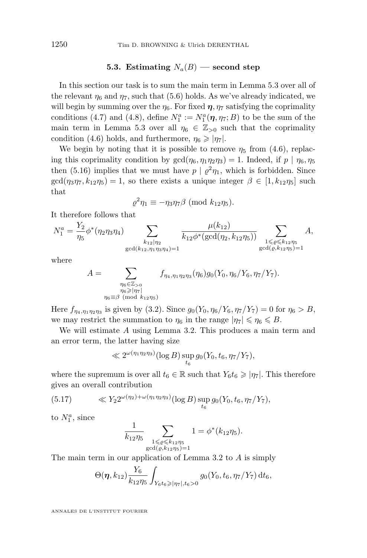#### **5.3.** Estimating  $N_a(B)$  — second step

<span id="page-20-0"></span>In this section our task is to sum the main term in Lemma [5.3](#page-18-0) over all of the relevant  $\eta_6$  and  $\eta_7$ , such that [\(5.6\)](#page-14-0) holds. As we've already indicated, we will begin by summing over the  $\eta_6$ . For fixed  $\eta$ ,  $\eta_7$  satisfying the coprimality conditions [\(4.7\)](#page-12-0) and [\(4.8\)](#page-12-0), define  $N_1^a := N_1^a(\eta, \eta_7; B)$  to be the sum of the main term in Lemma [5.3](#page-18-0) over all  $\eta_6 \in \mathbb{Z}_{>0}$  such that the coprimality condition [\(4.6\)](#page-12-0) holds, and furthermore,  $\eta_6 \geqslant |\eta_7|$ .

We begin by noting that it is possible to remove  $\eta_5$  from [\(4.6\)](#page-12-0), replacing this coprimality condition by  $gcd(\eta_6, \eta_1 \eta_2 \eta_3) = 1$ . Indeed, if  $p | \eta_6, \eta_5$ then [\(5.16\)](#page-17-0) implies that we must have  $p \mid \varrho^2 \eta_1$ , which is forbidden. Since  $gcd(\eta_3\eta_7, k_{12}\eta_5) = 1$ , so there exists a unique integer  $\beta \in [1, k_{12}\eta_5]$  such that

$$
\varrho^2 \eta_1 \equiv -\eta_3 \eta_7 \beta \; (\text{mod } k_{12} \eta_5).
$$

It therefore follows that

$$
N_1^a = \frac{Y_2}{\eta_5} \phi^*(\eta_2 \eta_3 \eta_4) \sum_{\substack{k_{12} \mid \eta_2 \\ \gcd(k_{12}, \eta_1 \eta_3 \eta_4) = 1}} \frac{\mu(k_{12})}{k_{12} \phi^*(\gcd(\eta_2, k_{12} \eta_5))} \sum_{\substack{1 \leqslant \varrho \leqslant k_{12} \eta_5 \\ \gcd(\varrho, k_{12} \eta_5) = 1}} A,
$$

where

$$
A = \sum_{\substack{\eta_6 \in \mathbb{Z}_{>0} \\ \eta_6 \ge |\eta_7| \\ \eta_6 \equiv \beta \pmod{k_{12}\eta_5}}} f_{\eta_4, \eta_1 \eta_2 \eta_3}(\eta_6) g_0(Y_0, \eta_6/Y_6, \eta_7/Y_7).
$$

Here  $f_{\eta_4,\eta_1\eta_2\eta_3}$  is given by [\(3.2\)](#page-7-0). Since  $g_0(Y_0,\eta_6/Y_6,\eta_7/Y_7)=0$  for  $\eta_6 > B$ , we may restrict the summation to  $\eta_6$  in the range  $|\eta_7| \leq \eta_6 \leq B$ .

We will estimate A using Lemma [3.2.](#page-8-0) This produces a main term and an error term, the latter having size

$$
\ll 2^{\omega(\eta_1 \eta_2 \eta_3)} (\log B) \sup_{t_6} g_0(Y_0, t_6, \eta_7/Y_7),
$$

where the supremum is over all  $t_6 \in \mathbb{R}$  such that  $Y_6t_6 \geqslant |\eta_7|$ . This therefore gives an overall contribution

(5.17) 
$$
\langle Y_2 2^{\omega(\eta_2) + \omega(\eta_1 \eta_2 \eta_3)} (\log B) \sup_{t_6} g_0(Y_0, t_6, \eta_7/Y_7),
$$

to  $N_1^a$ , since

$$
\frac{1}{k_{12}\eta_5} \sum_{\substack{1 \leqslant \varrho \leqslant k_{12}\eta_5 \\ \gcd(\varrho, k_{12}\eta_5)=1}} 1 = \phi^*(k_{12}\eta_5).
$$

The main term in our application of Lemma [3.2](#page-8-0) to A is simply

$$
\Theta(\boldsymbol{\eta},k_{12})\frac{Y_6}{k_{12}\eta_5}\int_{Y_6t_6\geqslant |\eta_7|,t_6>0}g_0(Y_0,t_6,\eta_7/Y_7)\,\mathrm{d}t_6,
$$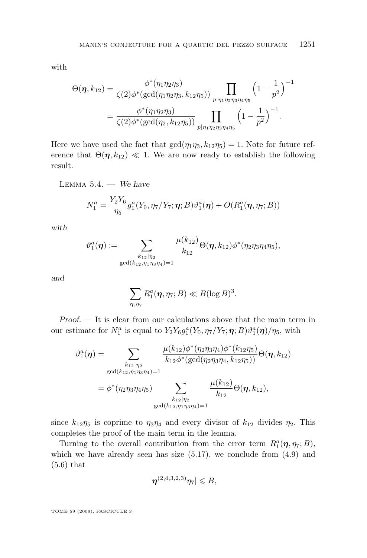<span id="page-21-0"></span>with

$$
\Theta(\eta, k_{12}) = \frac{\phi^*(\eta_1 \eta_2 \eta_3)}{\zeta(2)\phi^*(\gcd(\eta_1 \eta_2 \eta_3, k_{12} \eta_5))} \prod_{p|\eta_1 \eta_2 \eta_3 \eta_4 \eta_5} \left(1 - \frac{1}{p^2}\right)^{-1}
$$

$$
= \frac{\phi^*(\eta_1 \eta_2 \eta_3)}{\zeta(2)\phi^*(\gcd(\eta_2, k_{12} \eta_5))} \prod_{p|\eta_1 \eta_2 \eta_3 \eta_4 \eta_5} \left(1 - \frac{1}{p^2}\right)^{-1}.
$$

Here we have used the fact that  $gcd(\eta_1\eta_3, k_{12}\eta_5) = 1$ . Note for future reference that  $\Theta(\eta, k_{12}) \ll 1$ . We are now ready to establish the following result.

LEMMA 5.4. 
$$
\longrightarrow
$$
 We have

$$
N_1^a = \frac{Y_2 Y_6}{\eta_5} g_1^a(Y_0, \eta_7/Y_7; \eta; B) \vartheta_1^a(\eta) + O(R_1^a(\eta, \eta_7; B))
$$

*with*

$$
\vartheta_1^a(\boldsymbol{\eta}) := \sum_{\substack{k_{12}|\eta_2 \\ \gcd(k_{12},\eta_1\eta_3\eta_4)=1}} \frac{\mu(k_{12})}{k_{12}} \Theta(\boldsymbol{\eta},k_{12}) \phi^*(\eta_2\eta_3\eta_4\eta_5),
$$

*and*

$$
\sum_{\pmb{\eta},\eta_7} R_1^a(\pmb{\eta},\eta_7;B) \ll B(\log B)^3.
$$

*Proof. —* It is clear from our calculations above that the main term in our estimate for  $N_1^a$  is equal to  $Y_2 Y_6 g_1^a(Y_0, \eta_7/Y_7; \eta; B) \vartheta_1^a(\eta)/\eta_5$ , with

$$
\vartheta_1^a(\eta) = \sum_{\substack{k_{12}|\eta_2 \\ \gcd(k_{12},\eta_1\eta_3\eta_4)=1}} \frac{\mu(k_{12})\phi^*(\eta_2\eta_3\eta_4)\phi^*(k_{12}\eta_5)}{k_{12}\phi^*(\gcd(\eta_2\eta_3\eta_4,k_{12}\eta_5))} \Theta(\eta,k_{12})
$$

$$
= \phi^*(\eta_2\eta_3\eta_4\eta_5) \sum_{\substack{k_{12}|\eta_2 \\ \gcd(k_{12},\eta_1\eta_3\eta_4)=1}} \frac{\mu(k_{12})}{k_{12}} \Theta(\eta,k_{12}),
$$

since  $k_{12}\eta_5$  is coprime to  $\eta_3\eta_4$  and every divisor of  $k_{12}$  divides  $\eta_2$ . This completes the proof of the main term in the lemma.

Turning to the overall contribution from the error term  $R_1^a(\eta, \eta_7; B)$ , which we have already seen has size  $(5.17)$ , we conclude from  $(4.9)$  and [\(5.6\)](#page-14-0) that

$$
|\boldsymbol{\eta}^{(2,4,3,2,3)}\eta_7|\leqslant B,
$$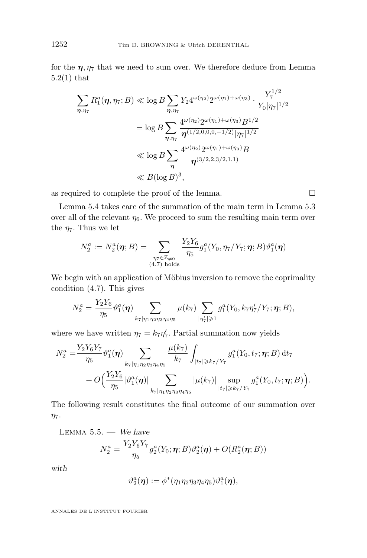<span id="page-22-0"></span>for the  $\eta$ ,  $\eta_7$  that we need to sum over. We therefore deduce from Lemma [5.2\(1\)](#page-16-0) that

$$
\sum_{\eta,\eta_7} R_1^a(\eta,\eta_7;B) \ll \log B \sum_{\eta,\eta_7} Y_2 4^{\omega(\eta_2)} 2^{\omega(\eta_1) + \omega(\eta_3)} \cdot \frac{Y_7^{1/2}}{Y_0 |\eta_7|^{1/2}}
$$
  
=  $\log B \sum_{\eta,\eta_7} \frac{4^{\omega(\eta_2)} 2^{\omega(\eta_1) + \omega(\eta_3)} B^{1/2}}{\eta^{(1/2,0,0,0,-1/2)} |\eta_7|^{1/2}}$   
 $\ll \log B \sum_{\eta} \frac{4^{\omega(\eta_2)} 2^{\omega(\eta_1) + \omega(\eta_3)} B}{\eta^{(3/2,2,3/2,1,1)}}$   
 $\ll B(\log B)^3$ ,

as required to complete the proof of the lemma.  $\Box$ 

Lemma [5.4](#page-21-0) takes care of the summation of the main term in Lemma [5.3](#page-18-0) over all of the relevant  $\eta_6$ . We proceed to sum the resulting main term over the  $\eta_7$ . Thus we let

$$
N_2^a := N_2^a(\boldsymbol{\eta};B) = \sum_{\substack{\eta_7 \in \mathbb{Z}_{\neq 0} \\ (4.7) \text{ holds}}} \frac{Y_2 Y_6}{\eta_5} g_1^a(Y_0, \eta_7 / Y_7; \boldsymbol{\eta};B) \vartheta_1^a(\boldsymbol{\eta})
$$

We begin with an application of Möbius inversion to remove the coprimality condition [\(4.7\)](#page-12-0). This gives

$$
N_2^a = \frac{Y_2 Y_6}{\eta_5} \vartheta_1^a(\boldsymbol{\eta}) \sum_{k_7 \mid \eta_1 \eta_2 \eta_3 \eta_4 \eta_5} \mu(k_7) \sum_{|\eta_7'|\geqslant 1} g_1^a(Y_0,k_7 \eta_7'/Y_7; \boldsymbol{\eta};B),
$$

where we have written  $\eta_7 = k_7 \eta'_7$ . Partial summation now yields

$$
N_2^a = \frac{Y_2 Y_6 Y_7}{\eta_5} \vartheta_1^a(\eta) \sum_{k_7 | \eta_1 \eta_2 \eta_3 \eta_4 \eta_5} \frac{\mu(k_7)}{k_7} \int_{|t_7| \geqslant k_7/Y_7} g_1^a(Y_0, t_7; \eta; B) dt_7 + O\Big(\frac{Y_2 Y_6}{\eta_5} |\vartheta_1^a(\eta)| \sum_{k_7 | \eta_1 \eta_2 \eta_3 \eta_4 \eta_5} |\mu(k_7)| \sup_{|t_7| \geqslant k_7/Y_7} g_1^a(Y_0, t_7; \eta; B) \Big).
$$

The following result constitutes the final outcome of our summation over  $\eta_7.$ 

LEMMA 5.5. — We have  
\n
$$
N_2^a = \frac{Y_2 Y_6 Y_7}{\eta_5} g_2^a(Y_0; \eta; B) \vartheta_2^a(\eta) + O(R_2^a(\eta; B))
$$

*with*

$$
\vartheta_2^a(\boldsymbol{\eta}):=\phi^*(\eta_1\eta_2\eta_3\eta_4\eta_5)\vartheta_1^a(\boldsymbol{\eta}),
$$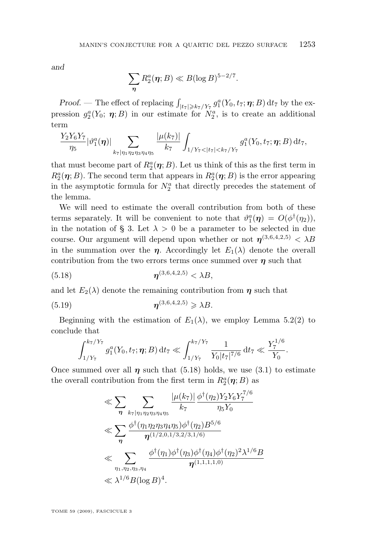<span id="page-23-0"></span>*and*

$$
\sum_{\boldsymbol{\eta}} R_2^a(\boldsymbol{\eta};B) \ll B(\log B)^{5-2/7}.
$$

*Proof.* — The effect of replacing  $\int_{|t_7| \geqslant k_7/Y_7} g_1^a(Y_0, t_7; \eta; B) dt_7$  by the expression  $g_2^a(Y_0; \eta; B)$  in our estimate for  $N_2^a$ , is to create an additional term

$$
\frac{Y_2Y_6Y_7}{\eta_5}|\vartheta_1^a(\boldsymbol{\eta})|\sum_{k_7|\eta_1\eta_2\eta_3\eta_4\eta_5}\frac{|\mu(k_7)|}{k_7}\int_{1/Y_7<|t_7|
$$

that must become part of  $R_2^a(\eta;B)$ . Let us think of this as the first term in  $R_2^a(\eta;B)$ . The second term that appears in  $R_2^a(\eta;B)$  is the error appearing in the asymptotic formula for  $N_2^a$  that directly precedes the statement of the lemma.

We will need to estimate the overall contribution from both of these terms separately. It will be convenient to note that  $\vartheta_1^a(\eta) = O(\phi^{\dagger}(\eta_2)),$ in the notation of § [3.](#page-7-0) Let  $\lambda > 0$  be a parameter to be selected in due course. Our argument will depend upon whether or not  $\eta^{(3,6,4,2,5)} < \lambda B$ in the summation over the  $\eta$ . Accordingly let  $E_1(\lambda)$  denote the overall contribution from the two errors terms once summed over  $\eta$  such that

(5.18) 
$$
\eta^{(3,6,4,2,5)} < \lambda B,
$$

and let  $E_2(\lambda)$  denote the remaining contribution from  $\eta$  such that

$$
\eta^{(3,6,4,2,5)} \geq \lambda B.
$$

Beginning with the estimation of  $E_1(\lambda)$ , we employ Lemma [5.2\(2\)](#page-16-0) to conclude that

$$
\int_{1/Y_7}^{k_7/Y_7} g_1^a(Y_0, t_7; \eta; B) dt_7 \ll \int_{1/Y_7}^{k_7/Y_7} \frac{1}{Y_0 |t_7|^{7/6}} dt_7 \ll \frac{Y_7^{1/6}}{Y_0}.
$$

Once summed over all  $\eta$  such that (5.18) holds, we use [\(3.1\)](#page-7-0) to estimate the overall contribution from the first term in  $R_2^a(\eta; B)$  as

$$
\ll \sum_{\eta} \sum_{k_{7}|\eta_{1}\eta_{2}\eta_{3}\eta_{4}\eta_{5}} \frac{|\mu(k_{7})|}{k_{7}} \frac{\phi^{\dagger}(\eta_{2})Y_{2}Y_{6}Y_{7}^{7/6}}{\eta_{5}Y_{0}} \n\ll \sum_{\eta} \frac{\phi^{\dagger}(\eta_{1}\eta_{2}\eta_{3}\eta_{4}\eta_{5})\phi^{\dagger}(\eta_{2})B^{5/6}}{\eta^{(1/2,0,1/3,2/3,1/6)}} \n\ll \sum_{\eta_{1},\eta_{2},\eta_{3},\eta_{4}} \frac{\phi^{\dagger}(\eta_{1})\phi^{\dagger}(\eta_{3})\phi^{\dagger}(\eta_{4})\phi^{\dagger}(\eta_{2})^{2}\lambda^{1/6}B}{\eta^{(1,1,1,1,0)}} \n\ll \lambda^{1/6} B(\log B)^{4}.
$$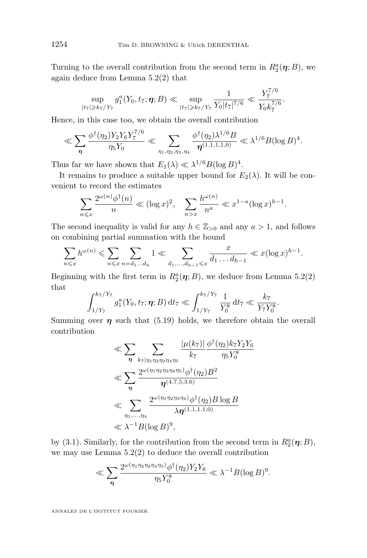Turning to the overall contribution from the second term in  $R_2^a(\eta;B)$ , we again deduce from Lemma [5.2\(2\)](#page-16-0) that

$$
\sup_{|t_7|\geqslant k_7/Y_7} g_1^a(Y_0,t_7;\pmb{\eta};B) \ll \sup_{|t_7|\geqslant k_7/Y_7} \frac{1}{Y_0|t_7|^{7/6}} \ll \frac{Y_7^{7/6}}{Y_0k_7^{7/6}}.
$$

Hence, in this case too, we obtain the overall contribution

$$
\ll \sum_{\eta} \frac{\phi^{\dagger}(\eta_2) Y_2 Y_6 Y_7^{7/6}}{\eta_5 Y_0} \ll \sum_{\eta_1, \eta_2, \eta_3, \eta_4} \frac{\phi^{\dagger}(\eta_2) \lambda^{1/6} B}{\eta^{(1,1,1,1,0)}} \ll \lambda^{1/6} B (\log B)^4.
$$

Thus far we have shown that  $E_1(\lambda) \ll \lambda^{1/6} B(\log B)^4$ .

It remains to produce a suitable upper bound for  $E_2(\lambda)$ . It will be convenient to record the estimates

$$
\sum_{n \leq x} \frac{2^{\omega(n)} \phi^{\dagger}(n)}{n} \ll (\log x)^2, \quad \sum_{n > x} \frac{h^{\omega(n)}}{n^a} \ll x^{1-a} (\log x)^{h-1}.
$$

The second inequality is valid for any  $h \in \mathbb{Z}_{>0}$  and any  $a > 1$ , and follows on combining partial summation with the bound

$$
\sum_{n \leq x} h^{\omega(n)} \leq \sum_{n \leq x} \sum_{n = d_1 \dots d_h} 1 \ll \sum_{d_1, \dots, d_{h-1} \leq x} \frac{x}{d_1 \dots d_{h-1}} \ll x(\log x)^{h-1}.
$$

Beginning with the first term in  $R_2^a(\eta;B)$ , we deduce from Lemma [5.2\(2\)](#page-16-0) that

$$
\int_{1/Y_7}^{k_7/Y_7} g_1^a(Y_0, t_7; \eta; B) dt_7 \ll \int_{1/Y_7}^{k_7/Y_7} \frac{1}{Y_0^8} dt_7 \ll \frac{k_7}{Y_7Y_0^8}.
$$

Summing over  $\eta$  such that [\(5.19\)](#page-23-0) holds, we therefore obtain the overall contribution

$$
\ll \sum_{\eta} \sum_{k_{7}|\eta_{1}\eta_{2}\eta_{3}\eta_{4}\eta_{5}} \frac{|\mu(k_{7})|}{k_{7}} \frac{\phi^{\dagger}(\eta_{2})k_{7}Y_{2}Y_{6}}{\eta_{5}Y_{0}^{8}}
$$
  

$$
\ll \sum_{\eta} \frac{2^{\omega(\eta_{1}\eta_{2}\eta_{3}\eta_{4}\eta_{5})}\phi^{\dagger}(\eta_{2})B^{2}}{\eta^{(4,7,5,3,6)}}
$$
  

$$
\ll \sum_{\eta_{1},...,\eta_{4}} \frac{2^{\omega(\eta_{1}\eta_{2}\eta_{3}\eta_{4})}\phi^{\dagger}(\eta_{2})B\log B}{\lambda \eta^{(1,1,1,1,0)}}
$$
  

$$
\ll \lambda^{-1}B(\log B)^{9},
$$

by [\(3.1\)](#page-7-0). Similarly, for the contribution from the second term in  $R_2^a(\eta; B)$ , we may use Lemma [5.2\(2\)](#page-16-0) to deduce the overall contribution

$$
\ll \sum_{\eta} \frac{2^{\omega(\eta_1 \eta_2 \eta_3 \eta_4 \eta_5)} \phi^{\dagger}(\eta_2) Y_2 Y_6}{\eta_5 Y_0^8} \ll \lambda^{-1} B (\log B)^9.
$$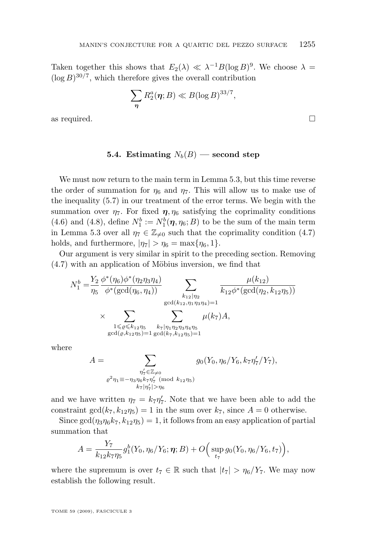<span id="page-25-0"></span>Taken together this shows that  $E_2(\lambda) \ll \lambda^{-1} B(\log B)^9$ . We choose  $\lambda =$  $(\log B)^{30/7}$ , which therefore gives the overall contribution

$$
\sum_{\boldsymbol{\eta}} R_2^a(\boldsymbol{\eta};B) \ll B(\log B)^{33/7},
$$

as required.  $\Box$ 

#### **5.4.** Estimating  $N_b(B)$  — second step

We must now return to the main term in Lemma [5.3,](#page-18-0) but this time reverse the order of summation for  $\eta_6$  and  $\eta_7$ . This will allow us to make use of the inequality [\(5.7\)](#page-14-0) in our treatment of the error terms. We begin with the summation over  $\eta_7$ . For fixed  $\eta$ ,  $\eta_6$  satisfying the coprimality conditions [\(4.6\)](#page-12-0) and [\(4.8\)](#page-12-0), define  $N_1^b := N_1^b(\eta, \eta_6; B)$  to be the sum of the main term in Lemma [5.3](#page-18-0) over all  $\eta_7 \in \mathbb{Z}_{\neq 0}$  such that the coprimality condition [\(4.7\)](#page-12-0) holds, and furthermore,  $|\eta_7| > \eta_6 = \max{\eta_6, 1}.$ 

Our argument is very similar in spirit to the preceding section. Removing [\(4.7\)](#page-12-0) with an application of Möbius inversion, we find that

$$
N_1^b = \frac{Y_2}{\eta_5} \frac{\phi^*(\eta_6)\phi^*(\eta_2\eta_3\eta_4)}{\phi^*(\gcd(\eta_6, \eta_4))} \sum_{\substack{k_{12}|\eta_2\\ \gcd(k_{12}, \eta_1\eta_3\eta_4)=1}} \frac{\mu(k_{12})}{k_{12}\phi^*(\gcd(\eta_2, k_{12}\eta_5))}
$$
  
 
$$
\times \sum_{\substack{1 \leq \varrho \leq k_{12}\eta_5\\ \gcd(\varrho, k_{12}\eta_5)=1}} \sum_{\substack{k_7|\eta_1\eta_2\eta_3\eta_4\eta_5\\ \gcd(k_7, k_{12}\eta_5)=1}} \frac{\mu(k_{12})}{\mu(k_7)A},
$$

where

$$
A = \sum_{\substack{\eta_7' \in \mathbb{Z}_{\neq 0} \\ \rho^2 \eta_1 \equiv -\eta_3 \eta_6 k_7 \eta_7' \pmod{k_{12} \eta_5}}} g_0(Y_0, \eta_6/Y_6, k_7 \eta_7'/Y_7),
$$

and we have written  $\eta_7 = k_7 \eta'_7$ . Note that we have been able to add the constraint  $gcd(k_7, k_{12}\eta_5) = 1$  in the sum over  $k_7$ , since  $A = 0$  otherwise.

Since  $gcd(\eta_3\eta_6k_7, k_{12}\eta_5) = 1$ , it follows from an easy application of partial summation that

$$
A = \frac{Y_7}{k_{12}k_7\eta_5} g_1^b(Y_0, \eta_6/Y_6; \boldsymbol{\eta}; B) + O\Big(\sup_{t_7} g_0(Y_0, \eta_6/Y_6, t_7)\Big),
$$

where the supremum is over  $t_7 \in \mathbb{R}$  such that  $|t_7| > \eta_6/Y_7$ . We may now establish the following result.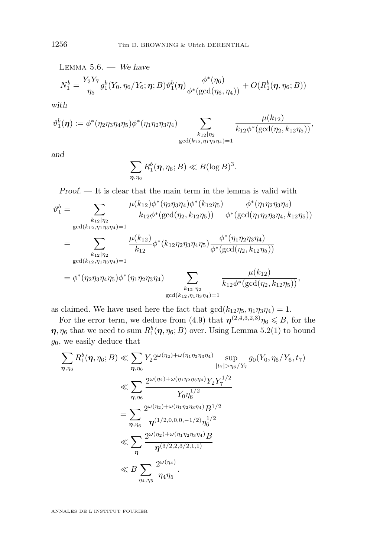LEMMA 5.6. — We have  
\n
$$
N_1^b = \frac{Y_2 Y_7}{\eta_5} g_1^b(Y_0, \eta_6/Y_6; \eta; B) \vartheta_1^b(\eta) \frac{\phi^*(\eta_6)}{\phi^*(\gcd(\eta_6, \eta_4))} + O(R_1^b(\eta, \eta_6; B))
$$

*with*

$$
\vartheta_1^b(\eta) := \phi^*(\eta_2\eta_3\eta_4\eta_5)\phi^*(\eta_1\eta_2\eta_3\eta_4) \sum_{\substack{k_{12}|\eta_2 \\ \gcd(k_{12},\eta_1\eta_3\eta_4)=1}} \frac{\mu(k_{12})}{k_{12}\phi^*(\gcd(\eta_2,k_{12}\eta_5))},
$$

*and*

$$
\sum_{\boldsymbol{\eta},\eta_6} R_1^b(\boldsymbol{\eta},\eta_6;B) \ll B(\log B)^3.
$$

*Proof. —* It is clear that the main term in the lemma is valid with

$$
\vartheta_1^b = \sum_{\substack{k_{12}|\eta_2 \\ \gcd(k_{12},\eta_1\eta_3\eta_4)=1}} \frac{\mu(k_{12})\phi^*(\eta_2\eta_3\eta_4)\phi^*(k_{12}\eta_5)}{k_{12}\phi^*(\gcd(\eta_2,k_{12}\eta_5))} \frac{\phi^*(\eta_1\eta_2\eta_3\eta_4)}{\phi^*(\gcd(\eta_1\eta_2\eta_3\eta_4,k_{12}\eta_5))}
$$
  
\n
$$
= \sum_{\substack{k_{12}|\eta_2 \\ \gcd(k_{12},\eta_1\eta_3\eta_4)=1}} \frac{\mu(k_{12})}{k_{12}} \phi^*(k_{12}\eta_2\eta_3\eta_4\eta_5) \frac{\phi^*(\eta_1\eta_2\eta_3\eta_4)}{\phi^*(\gcd(\eta_2,k_{12}\eta_5))}
$$
  
\n
$$
= \phi^*(\eta_2\eta_3\eta_4\eta_5) \phi^*(\eta_1\eta_2\eta_3\eta_4) \sum_{\substack{k_{12}|\eta_2 \\ \gcd(k_{12},\eta_1\eta_3\eta_4)=1}} \frac{\mu(k_{12})}{k_{12}\phi^*(\gcd(\eta_2,k_{12}\eta_5))},
$$

as claimed. We have used here the fact that  $gcd(k_{12}\eta_5, \eta_1\eta_3\eta_4) = 1$ .

For the error term, we deduce from [\(4.9\)](#page-13-0) that  $\eta^{(2,4,3,2,3)}\eta_6 \leqslant B$ , for the  $\boldsymbol{\eta}, \eta_6$  that we need to sum  $R_1^b(\boldsymbol{\eta},\eta_6;B)$  over. Using Lemma [5.2\(1\)](#page-16-0) to bound  $g_0$ , we easily deduce that

$$
\sum_{\eta,\eta_6} R_1^b(\eta,\eta_6;B) \ll \sum_{\eta,\eta_6} Y_2 2^{\omega(\eta_2) + \omega(\eta_1 \eta_2 \eta_3 \eta_4)} \sup_{|t_7| > \eta_6/Y_7} g_0(Y_0, \eta_6/Y_6, t_7)
$$
\n
$$
\ll \sum_{\eta,\eta_6} \frac{2^{\omega(\eta_2) + \omega(\eta_1 \eta_2 \eta_3 \eta_4)} Y_2 Y_7^{1/2}}{Y_0 \eta_6^{1/2}}
$$
\n
$$
= \sum_{\eta,\eta_6} \frac{2^{\omega(\eta_2) + \omega(\eta_1 \eta_2 \eta_3 \eta_4)} B^{1/2}}{\eta^{(1/2,0,0,0,-1/2)} \eta_6^{1/2}}
$$
\n
$$
\ll \sum_{\eta} \frac{2^{\omega(\eta_2) + \omega(\eta_1 \eta_2 \eta_3 \eta_4)} B^2}{\eta^{(3/2,2,3/2,1,1)}}
$$
\n
$$
\ll B \sum_{\eta_4,\eta_5} \frac{2^{\omega(\eta_4)}}{\eta_{4} \eta_5}.
$$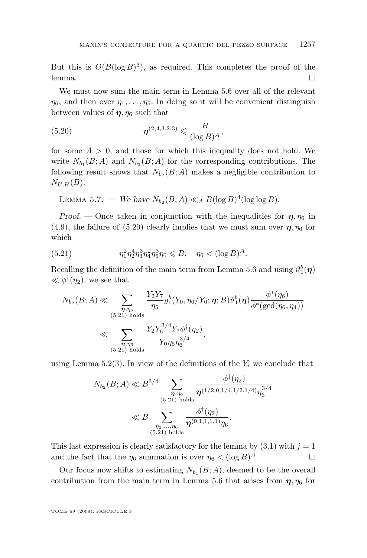<span id="page-27-0"></span>But this is  $O(B(\log B)^3)$ , as required. This completes the proof of the lemma.  $\Box$ 

We must now sum the main term in Lemma [5.6](#page-25-0) over all of the relevant  $\eta_6$ , and then over  $\eta_1, \ldots, \eta_5$ . In doing so it will be convenient distinguish between values of  $\eta$ ,  $\eta_6$  such that

(5.20) 
$$
\eta^{(2,4,3,2,3)} \leq \frac{B}{(\log B)^A},
$$

for some  $A > 0$ , and those for which this inequality does not hold. We write  $N_{b_1}(B; A)$  and  $N_{b_2}(B; A)$  for the corresponding contributions. The following result shows that  $N_{b_2}(B; A)$  makes a negligible contribution to  $N_{U,H}(B)$ .

LEMMA 5.7. — We have  $N_{b_2}(B; A) \ll_A B(\log B)^4(\log \log B)$ .

*Proof.* — Once taken in conjunction with the inequalities for  $\eta$ ,  $\eta_6$  in [\(4.9\)](#page-13-0), the failure of (5.20) clearly implies that we must sum over  $\eta$ ,  $\eta_6$  for which

(5.21) 
$$
\eta_1^2 \eta_2^4 \eta_3^3 \eta_4^2 \eta_5^3 \eta_6 \leq B, \quad \eta_6 < (\log B)^A.
$$

Recalling the definition of the main term from Lemma [5.6](#page-25-0) and using  $\vartheta_1^b(\eta)$  $\ll \phi^{\dagger}(\eta_2)$ , we see that

$$
N_{b_2}(B;A) \ll \sum_{\substack{\boldsymbol{\eta}, \eta_6 \\ (5.21) \text{ holds} }} \frac{Y_2 Y_7}{\eta_5} g_1^b(Y_0, \eta_6/Y_6; \boldsymbol{\eta}; B) \vartheta_1^b(\boldsymbol{\eta}) \frac{\phi^*(\eta_6)}{\phi^*(\gcd(\eta_6, \eta_4))}
$$
  

$$
\ll \sum_{\substack{\boldsymbol{\eta}, \eta_6 \\ (5.21) \text{ holds}}} \frac{Y_2 Y_6^{3/4} Y_7 \phi^{\dagger}(\eta_2)}{Y_0 \eta_5 \eta_6^{3/4}},
$$

using Lemma [5.2\(3\)](#page-16-0). In view of the definitions of the  $Y_i$  we conclude that

$$
N_{b_2}(B;A) \ll B^{3/4} \sum_{\substack{\boldsymbol{\eta}, \eta_6 \\ (5.21) \text{ holds} \\ \eta_2, \dots, \eta_6}} \frac{\phi^{\dagger}(\eta_2)}{\boldsymbol{\eta}^{(1/2,0,1/4,1/2,1/4)} \eta_6^{3/4}}
$$
  
\$\ll B \sum\_{\substack{\eta\_2, \dots, \eta\_6 \\ (5.21) \text{ holds} }} \frac{\phi^{\dagger}(\eta\_2)}{\boldsymbol{\eta}^{(0,1,1,1,1)} \eta\_6}.

This last expression is clearly satisfactory for the lemma by  $(3.1)$  with  $j = 1$ and the fact that the  $\eta_6$  summation is over  $\eta_6 < (\log B)^A$ .

Our focus now shifts to estimating  $N_{b_1}(B; A)$ , deemed to be the overall contribution from the main term in Lemma [5.6](#page-25-0) that arises from  $\eta$ ,  $\eta_6$  for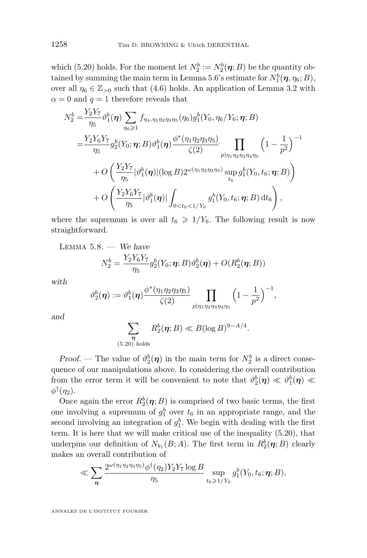<span id="page-28-0"></span>which [\(5.20\)](#page-27-0) holds. For the moment let  $N_2^b := N_2^b(\eta; B)$  be the quantity ob-tained by summing the main term in Lemma [5.6'](#page-25-0)s estimate for  $N_1^b(\eta, \eta_6; B)$ , over all  $\eta_6 \in \mathbb{Z}_{>0}$  such that [\(4.6\)](#page-12-0) holds. An application of Lemma [3.2](#page-8-0) with  $\alpha = 0$  and  $q = 1$  therefore reveals that

$$
N_{2}^{b} = \frac{Y_{2}Y_{7}}{\eta_{5}} \vartheta_{1}^{b}(\boldsymbol{\eta}) \sum_{\eta_{6} \geq 1} f_{\eta_{4}, \eta_{1} \eta_{2} \eta_{3} \eta_{5}}(\eta_{6}) g_{1}^{b}(Y_{0}, \eta_{6}/Y_{6}; \boldsymbol{\eta}; B)
$$
  

$$
= \frac{Y_{2}Y_{6}Y_{7}}{\eta_{5}} g_{2}^{b}(Y_{0}; \boldsymbol{\eta}; B) \vartheta_{1}^{b}(\boldsymbol{\eta}) \frac{\vartheta^{*}(\eta_{1} \eta_{2} \eta_{3} \eta_{5})}{\zeta(2)} \prod_{p | \eta_{1} \eta_{2} \eta_{3} \eta_{4} \eta_{5}} \left(1 - \frac{1}{p^{2}}\right)^{-1}
$$

$$
+ O\left(\frac{Y_{2}Y_{7}}{\eta_{5}} |\vartheta_{1}^{b}(\boldsymbol{\eta})| (\log B) 2^{\omega(\eta_{1} \eta_{2} \eta_{3} \eta_{5})} \sup_{t_{6}} g_{1}^{b}(Y_{0}, t_{6}; \boldsymbol{\eta}; B)\right)
$$

$$
+ O\left(\frac{Y_{2}Y_{6}Y_{7}}{\eta_{5}} |\vartheta_{1}^{b}(\boldsymbol{\eta})| \int_{0 < t_{6} < 1/Y_{6}} g_{1}^{b}(Y_{0}, t_{6}; \boldsymbol{\eta}; B) dt_{6}\right),
$$

where the supremum is over all  $t_6 \geq 1/Y_6$ . The following result is now straightforward.

LEMMA 5.8. — We have  
\n
$$
N_2^b = \frac{Y_2 Y_6 Y_7}{\eta_5} g_2^b(Y_0; \eta; B) \vartheta_2^b(\eta) + O(R_2^b(\eta; B))
$$

*with*

$$
\vartheta_2^b(\pmb{\eta}):=\vartheta_1^b(\pmb{\eta})\frac{\phi^*(\eta_1\eta_2\eta_3\eta_5)}{\zeta(2)}\prod_{p|\eta_1\eta_2\eta_3\eta_4\eta_5}\Big(1-\frac{1}{p^2}\Big)^{-1},
$$

*and*

$$
\sum_{\substack{\boldsymbol{\eta} \\ (5.20) \text{ holds}}} R_2^b(\boldsymbol{\eta};B) \ll B(\log B)^{9-A/4}.
$$

*Proof.* — The value of  $\vartheta_2^b(\eta)$  in the main term for  $N_2^b$  is a direct consequence of our manipulations above. In considering the overall contribution from the error term it will be convenient to note that  $\vartheta_2^b(\eta) \ll \vartheta_1^b(\eta) \ll$  $\phi^{\dagger}(\eta_2)$ .

Once again the error  $R_2^b(\eta; B)$  is comprised of two basic terms, the first one involving a supremum of  $g_1^b$  over  $t_6$  in an appropriate range, and the second involving an integration of  $g_1^b$ . We begin with dealing with the first term. It is here that we will make critical use of the inequality [\(5.20\)](#page-27-0), that underpins our definition of  $N_{b_1}(B; A)$ . The first term in  $R_2^b(\eta; B)$  clearly makes an overall contribution of

$$
\ll \sum_{\boldsymbol{\eta}} \frac{2^{\omega(\eta_1 \eta_2 \eta_3 \eta_5)} \phi^{\dagger}(\eta_2) Y_2 Y_7 \log B}{\eta_5} \sup_{t_6 \geq 1/Y_6} g_1^b(Y_0, t_6; \boldsymbol{\eta}; B),
$$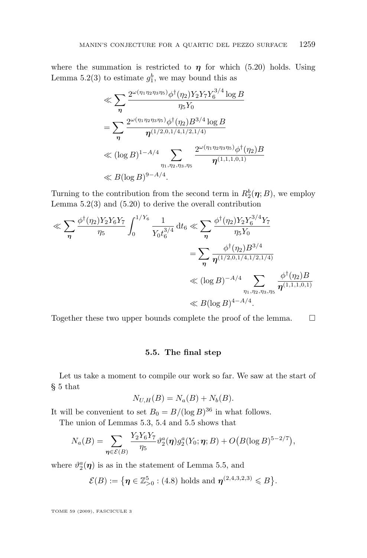<span id="page-29-0"></span>where the summation is restricted to  $\eta$  for which [\(5.20\)](#page-27-0) holds. Using Lemma [5.2\(3\)](#page-16-0) to estimate  $g_1^b$ , we may bound this as

$$
\ll \sum_{\eta} \frac{2^{\omega(\eta_1 \eta_2 \eta_3 \eta_5)} \phi^{\dagger}(\eta_2) Y_2 Y_7 Y_6^{3/4} \log B}{\eta_5 Y_0}
$$
  
= 
$$
\sum_{\eta} \frac{2^{\omega(\eta_1 \eta_2 \eta_3 \eta_5)} \phi^{\dagger}(\eta_2) B^{3/4} \log B}{\eta^{(1/2,0,1/4,1/2,1/4)}}
$$
  

$$
\ll (\log B)^{1-A/4} \sum_{\eta_1, \eta_2, \eta_3, \eta_5} \frac{2^{\omega(\eta_1 \eta_2 \eta_3 \eta_5)} \phi^{\dagger}(\eta_2) B}{\eta^{(1,1,1,0,1)}}
$$
  

$$
\ll B(\log B)^{9-A/4}.
$$

Turning to the contribution from the second term in  $R_2^b(\eta;B)$ , we employ Lemma  $5.2(3)$  and  $(5.20)$  to derive the overall contribution

$$
\ll \sum_{\eta} \frac{\phi^{\dagger}(\eta_2) Y_2 Y_6 Y_7}{\eta_5} \int_0^{1/Y_6} \frac{1}{Y_0 t_6^{3/4}} dt_6 \ll \sum_{\eta} \frac{\phi^{\dagger}(\eta_2) Y_2 Y_6^{3/4} Y_7}{\eta_5 Y_0}
$$

$$
= \sum_{\eta} \frac{\phi^{\dagger}(\eta_2) B^{3/4}}{\eta^{(1/2,0,1/4,1/2,1/4)}}
$$

$$
\ll (\log B)^{-A/4} \sum_{\eta_1, \eta_2, \eta_3, \eta_5} \frac{\phi^{\dagger}(\eta_2) B}{\eta^{(1,1,1,0,1)}}
$$

$$
\ll B(\log B)^{4-A/4}.
$$

Together these two upper bounds complete the proof of the lemma.

#### **5.5. The final step**

Let us take a moment to compile our work so far. We saw at the start of § [5](#page-13-0) that

$$
N_{U,H}(B) = N_a(B) + N_b(B).
$$

It will be convenient to set  $B_0 = B/(\log B)^{36}$  in what follows.

The union of Lemmas [5.3,](#page-18-0) [5.4](#page-21-0) and [5.5](#page-22-0) shows that

$$
N_a(B) = \sum_{\eta \in \mathcal{E}(B)} \frac{Y_2 Y_6 Y_7}{\eta_5} \vartheta_2^a(\eta) g_2^a(Y_0; \eta; B) + O\big(B(\log B)^{5-2/7}\big),
$$

where  $\vartheta_2^a(\eta)$  is as in the statement of Lemma [5.5,](#page-22-0) and

$$
\mathcal{E}(B) := \{ \boldsymbol{\eta} \in \mathbb{Z}_{>0}^5 : (4.8) \text{ holds and } \boldsymbol{\eta}^{(2,4,3,2,3)} \leq B \}.
$$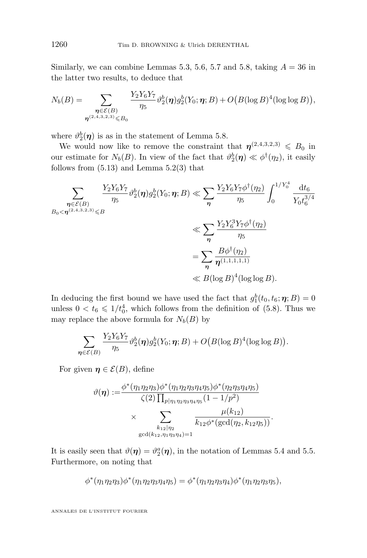Similarly, we can combine Lemmas [5.3,](#page-18-0) [5.6,](#page-25-0) [5.7](#page-27-0) and [5.8,](#page-28-0) taking  $A = 36$  in the latter two results, to deduce that

$$
N_b(B) = \sum_{\substack{\boldsymbol{\eta} \in \mathcal{E}(B) \\ \boldsymbol{\eta}^{(2,4,3,2,3)} \leq B_0}} \frac{Y_2 Y_6 Y_7}{\eta_5} \vartheta_2^b(\boldsymbol{\eta}) g_2^b(Y_0; \boldsymbol{\eta}; B) + O\big(B(\log B)^4(\log \log B)\big),
$$

where  $\vartheta_2^b(\eta)$  is as in the statement of Lemma [5.8.](#page-28-0)

We would now like to remove the constraint that  $\eta^{(2,4,3,2,3)} \leq B_0$  in our estimate for  $N_b(B)$ . In view of the fact that  $\vartheta_2^b(\eta) \ll \varphi^{\dagger}(\eta_2)$ , it easily follows from  $(5.13)$  and Lemma  $5.2(3)$  that

$$
\sum_{\substack{\eta \in \mathcal{E}(B) \\ B_0 < \eta^{(2,4,3,2,3)} \leq B}} \frac{Y_2 Y_6 Y_7}{\eta_5} \vartheta_2^b(\eta) g_2^b(Y_0; \eta; B) \ll \sum_{\eta} \frac{Y_2 Y_6 Y_7 \phi^{\dagger}(\eta_2)}{\eta_5} \int_0^{1/Y_0^4} \frac{\mathrm{d}t_6}{Y_0 t_6^{3/4}} \\ \ll \sum_{\eta} \frac{Y_2 Y_6^3 Y_7 \phi^{\dagger}(\eta_2)}{\eta_5} \\ = \sum_{\eta} \frac{B \phi^{\dagger}(\eta_2)}{\eta^{(1,1,1,1,1)}} \\ \ll B(\log B)^4 (\log \log B).
$$

In deducing the first bound we have used the fact that  $g_1^b(t_0, t_6; \eta; B) = 0$ unless  $0 < t_6 \leq 1/t_0^4$ , which follows from the definition of [\(5.8\)](#page-14-0). Thus we may replace the above formula for  $N_b(B)$  by

$$
\sum_{\boldsymbol\eta\in\mathcal{E}(B)}\frac{Y_2Y_6Y_7}{\eta_5}\vartheta_2^b(\boldsymbol\eta)g_2^b(Y_0;\boldsymbol\eta;B)+O\big(B(\log B)^4(\log\log B)\big).
$$

For given  $\eta \in \mathcal{E}(B)$ , define

$$
\vartheta(\eta) := \frac{\phi^*(\eta_1 \eta_2 \eta_3) \phi^*(\eta_1 \eta_2 \eta_3 \eta_4 \eta_5) \phi^*(\eta_2 \eta_3 \eta_4 \eta_5)}{\zeta(2) \prod_{p|\eta_1 \eta_2 \eta_3 \eta_4 \eta_5} (1 - 1/p^2)} \times \sum_{\substack{k_{12}|\eta_2\\ \gcd(k_{12}, \eta_1 \eta_3 \eta_4) = 1}} \frac{\mu(k_{12})}{k_{12} \phi^*(\gcd(\eta_2, k_{12} \eta_5))}.
$$

It is easily seen that  $\vartheta(\eta) = \vartheta_2^a(\eta)$ , in the notation of Lemmas [5.4](#page-21-0) and [5.5.](#page-22-0) Furthermore, on noting that

$$
\phi^*(\eta_1\eta_2\eta_3)\phi^*(\eta_1\eta_2\eta_3\eta_4\eta_5) = \phi^*(\eta_1\eta_2\eta_3\eta_4)\phi^*(\eta_1\eta_2\eta_3\eta_5),
$$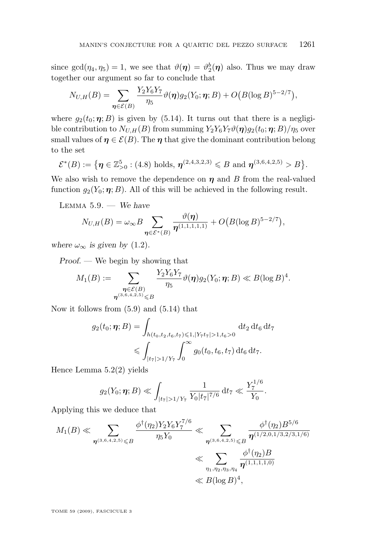<span id="page-31-0"></span>since  $gcd(\eta_4, \eta_5) = 1$ , we see that  $\vartheta(\eta) = \vartheta_2^b(\eta)$  also. Thus we may draw together our argument so far to conclude that

$$
N_{U,H}(B) = \sum_{\boldsymbol{\eta} \in \mathcal{E}(B)} \frac{Y_2 Y_6 Y_7}{\eta_5} \vartheta(\boldsymbol{\eta}) g_2(Y_0; \boldsymbol{\eta}; B) + O\big(B(\log B)^{5-2/7}\big),
$$

where  $g_2(t_0; \eta; B)$  is given by [\(5.14\)](#page-15-0). It turns out that there is a negligible contribution to  $N_{U,H}(B)$  from summing  $Y_2Y_6Y_7\vartheta(\eta)g_2(t_0;\eta;B)/\eta_5$  over small values of  $\eta \in \mathcal{E}(B)$ . The  $\eta$  that give the dominant contribution belong to the set

$$
\mathcal{E}^*(B) := \{ \eta \in \mathbb{Z}_{>0}^5 : (4.8) \text{ holds}, \, \eta^{(2,4,3,2,3)} \leq B \text{ and } \eta^{(3,6,4,2,5)} > B \}.
$$

We also wish to remove the dependence on  $\eta$  and B from the real-valued function  $g_2(Y_0; \eta; B)$ . All of this will be achieved in the following result.

Lemma 5.9. — *We have*

$$
N_{U,H}(B)=\omega_{\infty}B\sum_{\boldsymbol{\eta}\in\mathcal{E}^{*}(B)}\frac{\vartheta(\boldsymbol{\eta})}{\boldsymbol{\eta}^{(1,1,1,1,1)}}+O\big(B(\log B)^{5-2/7}\big),
$$

*where*  $\omega_{\infty}$  *is given by* [\(1.2\)](#page-2-0).

*Proof. —* We begin by showing that

$$
M_1(B):=\sum_{\substack{\boldsymbol{\eta}\in\mathcal{E}(B)\\ \boldsymbol{\eta}^{(3,6,4,2,5)}\leqslant B}}\frac{Y_2Y_6Y_7}{\eta_5}\vartheta(\boldsymbol{\eta})g_2(Y_0;\boldsymbol{\eta};B)\ll B(\log B)^4.
$$

Now it follows from [\(5.9\)](#page-15-0) and [\(5.14\)](#page-15-0) that

$$
g_2(t_0; \eta; B) = \int_{h(t_0, t_2, t_6, t_7) \le 1, |Y_7 t_7| > 1, t_6 > 0} \mathrm{d}t_2 \, \mathrm{d}t_6 \, \mathrm{d}t_7
$$
  
\$\le \int\_{|t\_7| > 1/Y\_7} \int\_0^\infty g\_0(t\_0, t\_6, t\_7) \, \mathrm{d}t\_6 \, \mathrm{d}t\_7\$.

Hence Lemma [5.2\(2\)](#page-16-0) yields

$$
g_2(Y_0; \eta; B) \ll \int_{|t_7| > 1/Y_7} \frac{1}{Y_0|t_7|^{7/6}} dt_7 \ll \frac{Y_7^{1/6}}{Y_0}.
$$

Applying this we deduce that

$$
M_1(B) \ll \sum_{\eta^{(3,6,4,2,5)} \leq B} \frac{\phi^{\dagger}(\eta_2) Y_2 Y_6 Y_7^{7/6}}{\eta_5 Y_0} \ll \sum_{\eta^{(3,6,4,2,5)} \leq B} \frac{\phi^{\dagger}(\eta_2) B^{5/6}}{\eta^{(1/2,0,1/3,2/3,1/6)}} \ll \sum_{\eta_1, \eta_2, \eta_3, \eta_4} \frac{\phi^{\dagger}(\eta_2) B}{\eta^{(1,1,1,1,0)}} \ll B(\log B)^4,
$$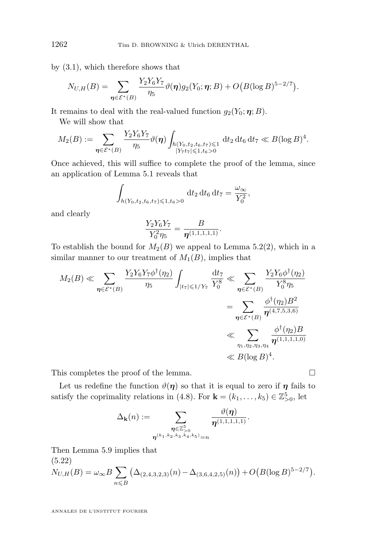by [\(3.1\)](#page-7-0), which therefore shows that

$$
N_{U,H}(B) = \sum_{\eta \in \mathcal{E}^*(B)} \frac{Y_2 Y_6 Y_7}{\eta_5} \vartheta(\eta) g_2(Y_0; \eta; B) + O\big(B(\log B)^{5-2/7}\big).
$$

It remains to deal with the real-valued function  $g_2(Y_0; \eta; B)$ .

We will show that

$$
M_2(B) := \sum_{\eta \in \mathcal{E}^*(B)} \frac{Y_2 Y_6 Y_7}{\eta_5} \vartheta(\eta) \int_{\substack{h(Y_0, t_2, t_6, t_7) \leq 1 \\ |Y_7 t_7| \leq 1, t_6 > 0}} \mathrm{d}t_2 \, \mathrm{d}t_6 \, \mathrm{d}t_7 \ll B(\log B)^4.
$$

Once achieved, this will suffice to complete the proof of the lemma, since an application of Lemma [5.1](#page-15-0) reveals that

$$
\int_{h(Y_0, t_2, t_6, t_7) \leq 1, t_6 > 0} \mathrm{d}t_2 \, \mathrm{d}t_6 \, \mathrm{d}t_7 = \frac{\omega_{\infty}}{Y_0^2},
$$

and clearly

$$
\frac{Y_2 Y_6 Y_7}{Y_0^2 \eta_5} = \frac{B}{\eta^{(1,1,1,1,1)}}.
$$

To establish the bound for  $M_2(B)$  we appeal to Lemma [5.2\(2\)](#page-16-0), which in a similar manner to our treatment of  $M_1(B)$ , implies that

$$
M_2(B) \ll \sum_{\eta \in \mathcal{E}^*(B)} \frac{Y_2 Y_6 Y_7 \phi^{\dagger}(\eta_2)}{\eta_5} \int_{|t_7| \leq 1/Y_7} \frac{dt_7}{Y_0^8} \ll \sum_{\eta \in \mathcal{E}^*(B)} \frac{Y_2 Y_6 \phi^{\dagger}(\eta_2)}{Y_0^8 \eta_5}
$$
  
= 
$$
\sum_{\eta \in \mathcal{E}^*(B)} \frac{\phi^{\dagger}(\eta_2) B^2}{\eta^{(4,7,5,3,6)}}
$$
  

$$
\ll \sum_{\eta_1, \eta_2, \eta_3, \eta_4} \frac{\phi^{\dagger}(\eta_2) B}{\eta^{(1,1,1,1,0)}} \ll B(\log B)^4.
$$

This completes the proof of the lemma.

Let us redefine the function  $\vartheta(\eta)$  so that it is equal to zero if  $\eta$  fails to satisfy the coprimality relations in [\(4.8\)](#page-12-0). For  $\mathbf{k} = (k_1, \ldots, k_5) \in \mathbb{Z}_{>0}^5$ , let

$$
\Delta_{\mathbf{k}}(n):=\sum_{\substack{\boldsymbol{\eta}\in\mathbb{Z}_{>0}^5\\ \boldsymbol{\eta}^{(k_1,k_2,k_3,k_4,k_5)}=n}}\frac{\vartheta(\boldsymbol{\eta})}{\boldsymbol{\eta}^{(1,1,1,1,1)}}.
$$

Then Lemma [5.9](#page-31-0) implies that  $(5.99)$ 

$$
N_{U,H}(B) = \omega_{\infty} B \sum_{n \leq B} (\Delta_{(2,4,3,2,3)}(n) - \Delta_{(3,6,4,2,5)}(n)) + O\big(B(\log B)^{5-2/7}\big).
$$

<span id="page-32-0"></span>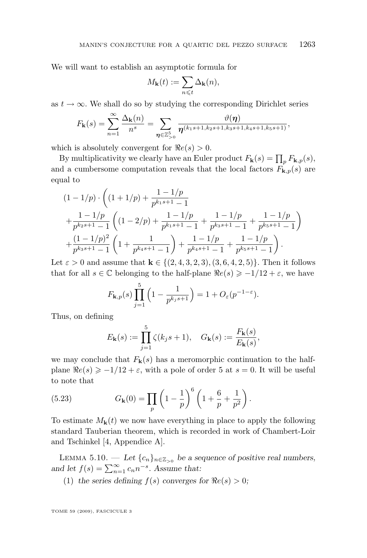<span id="page-33-0"></span>We will want to establish an asymptotic formula for

$$
M_{\mathbf{k}}(t) := \sum_{n \leqslant t} \Delta_{\mathbf{k}}(n),
$$

as  $t \to \infty$ . We shall do so by studying the corresponding Dirichlet series

$$
F_{\mathbf{k}}(s) = \sum_{n=1}^{\infty} \frac{\Delta_{\mathbf{k}}(n)}{n^s} = \sum_{\boldsymbol{\eta} \in \mathbb{Z}_{\geq 0}^5} \frac{\vartheta(\boldsymbol{\eta})}{\boldsymbol{\eta}^{(k_1 s + 1, k_2 s + 1, k_3 s + 1, k_4 s + 1, k_5 s + 1)}},
$$

which is absolutely convergent for  $\Re e(s) > 0$ .

By multiplicativity we clearly have an Euler product  $F_{\mathbf{k}}(s) = \prod_p F_{\mathbf{k},p}(s)$ , and a cumbersome computation reveals that the local factors  $F_{\mathbf{k},p}(s)$  are equal to

$$
(1 - 1/p) \cdot \left( (1 + 1/p) + \frac{1 - 1/p}{p^{k_1 s + 1} - 1} + \frac{1 - 1/p}{p^{k_2 s + 1} - 1} \left( (1 - 2/p) + \frac{1 - 1/p}{p^{k_1 s + 1} - 1} + \frac{1 - 1/p}{p^{k_3 s + 1} - 1} + \frac{1 - 1/p}{p^{k_5 s + 1} - 1} \right) + \frac{(1 - 1/p)^2}{p^{k_3 s + 1} - 1} \left( 1 + \frac{1}{p^{k_4 s + 1} - 1} \right) + \frac{1 - 1/p}{p^{k_4 s + 1} - 1} + \frac{1 - 1/p}{p^{k_5 s + 1} - 1} \right).
$$

Let  $\varepsilon > 0$  and assume that  $\mathbf{k} \in \{(2, 4, 3, 2, 3), (3, 6, 4, 2, 5)\}\.$  Then it follows that for all  $s \in \mathbb{C}$  belonging to the half-plane  $\Re e(s) \geq -1/12 + \varepsilon$ , we have

$$
F_{\mathbf{k},p}(s) \prod_{j=1}^{5} \left(1 - \frac{1}{p^{k_j s + 1}}\right) = 1 + O_{\varepsilon}(p^{-1-\varepsilon}).
$$

Thus, on defining

$$
E_{\mathbf{k}}(s) := \prod_{j=1}^{5} \zeta(k_j s + 1), \quad G_{\mathbf{k}}(s) := \frac{F_{\mathbf{k}}(s)}{E_{\mathbf{k}}(s)},
$$

we may conclude that  $F_{k}(s)$  has a meromorphic continuation to the halfplane  $\Re e(s) \geq -1/12 + \varepsilon$ , with a pole of order 5 at  $s = 0$ . It will be useful to note that

(5.23) 
$$
G_{\mathbf{k}}(0) = \prod_{p} \left(1 - \frac{1}{p}\right)^6 \left(1 + \frac{6}{p} + \frac{1}{p^2}\right).
$$

To estimate  $M_{\mathbf{k}}(t)$  we now have everything in place to apply the following standard Tauberian theorem, which is recorded in work of Chambert-Loir and Tschinkel [\[4,](#page-35-0) Appendice A].

LEMMA 5.10. — Let  $\{c_n\}_{n \in \mathbb{Z}_{>0}}$  be a sequence of positive real numbers, and let  $f(s) = \sum_{n=1}^{\infty} c_n n^{-s}$ . Assume that:

(1) the series defining  $f(s)$  converges for  $\Re e(s) > 0$ ;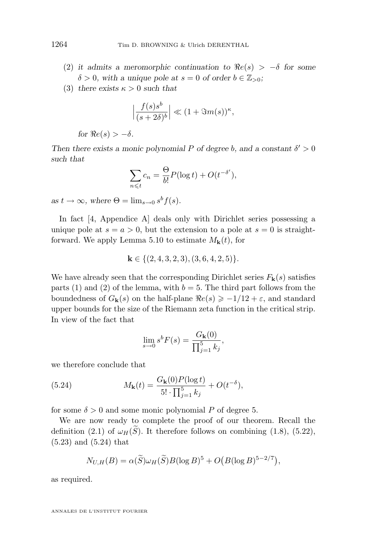- (2) it admits a meromorphic continuation to  $Re(s) > -\delta$  for some  $\delta > 0$ , with a unique pole at  $s = 0$  of order  $b \in \mathbb{Z}_{>0}$ ;
- (3) *there exists*  $\kappa > 0$  *such that*

$$
\left|\frac{f(s)s^b}{(s+2\delta)^b}\right| \ll (1+\Im m(s))^{\kappa},
$$

*for*  $Re(s) > -\delta$ *.* 

*Then there exists a monic polynomial*  $P$  *of degree b, and a constant*  $\delta' > 0$ *such that*

$$
\sum_{n \leq t} c_n = \frac{\Theta}{b!} P(\log t) + O(t^{-\delta'}),
$$

 $as t \to \infty$ , where  $\Theta = \lim_{s \to 0} s^b f(s)$ .

In fact [\[4,](#page-35-0) Appendice A] deals only with Dirichlet series possessing a unique pole at  $s = a > 0$ , but the extension to a pole at  $s = 0$  is straight-forward. We apply Lemma [5.10](#page-33-0) to estimate  $M_{\mathbf{k}}(t)$ , for

$$
\mathbf{k} \in \{ (2, 4, 3, 2, 3), (3, 6, 4, 2, 5) \}.
$$

We have already seen that the corresponding Dirichlet series  $F_{\mathbf{k}}(s)$  satisfies parts (1) and (2) of the lemma, with  $b = 5$ . The third part follows from the boundedness of  $G_{\mathbf{k}}(s)$  on the half-plane  $\Re e(s) \geq -1/12 + \varepsilon$ , and standard upper bounds for the size of the Riemann zeta function in the critical strip. In view of the fact that

$$
\lim_{s \to 0} s^b F(s) = \frac{G_{\mathbf{k}}(0)}{\prod_{j=1}^5 k_j},
$$

we therefore conclude that

(5.24) 
$$
M_{\mathbf{k}}(t) = \frac{G_{\mathbf{k}}(0)P(\log t)}{5! \cdot \prod_{j=1}^{5} k_j} + O(t^{-\delta}),
$$

for some  $\delta > 0$  and some monic polynomial P of degree 5.

We are now ready to complete the proof of our theorem. Recall the definition [\(2.1\)](#page-5-0) of  $\omega_H(\tilde{S})$ . It therefore follows on combining [\(1.8\)](#page-4-0), [\(5.22\)](#page-32-0), [\(5.23\)](#page-33-0) and (5.24) that

$$
N_{U,H}(B) = \alpha(\widetilde{S})\omega_H(\widetilde{S})B(\log B)^5 + O\big(B(\log B)^{5-2/7}\big),
$$

as required.